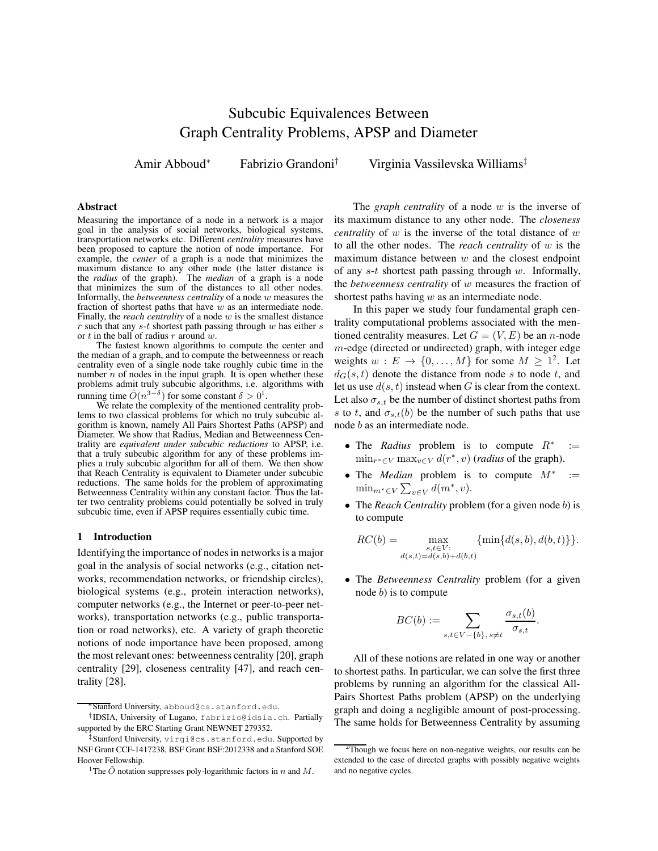# Subcubic Equivalences Between Graph Centrality Problems, APSP and Diameter

## Amir Abboud<sup>∗</sup> Fabrizio Grandoni† Virginia Vassilevska Williams‡

### Abstract

Measuring the importance of a node in a network is a major goal in the analysis of social networks, biological systems, transportation networks etc. Different *centrality* measures have been proposed to capture the notion of node importance. For example, the *center* of a graph is a node that minimizes the maximum distance to any other node (the latter distance is the *radius* of the graph). The *median* of a graph is a node that minimizes the sum of the distances to all other nodes. Informally, the *betweenness centrality* of a node w measures the fraction of shortest paths that have  $w$  as an intermediate node. Finally, the *reach centrality* of a node w is the smallest distance r such that any s-t shortest path passing through w has either s or t in the ball of radius r around w.

The fastest known algorithms to compute the center and the median of a graph, and to compute the betweenness or reach centrality even of a single node take roughly cubic time in the number  $n$  of nodes in the input graph. It is open whether these problems admit truly subcubic algorithms, i.e. algorithms with running time  $\tilde{O}(n^{3-\delta})$  for some constant  $\delta > 0^1$ .

We relate the complexity of the mentioned centrality problems to two classical problems for which no truly subcubic algorithm is known, namely All Pairs Shortest Paths (APSP) and Diameter. We show that Radius, Median and Betweenness Centrality are *equivalent under subcubic reductions* to APSP, i.e. that a truly subcubic algorithm for any of these problems implies a truly subcubic algorithm for all of them. We then show that Reach Centrality is equivalent to Diameter under subcubic reductions. The same holds for the problem of approximating Betweenness Centrality within any constant factor. Thus the latter two centrality problems could potentially be solved in truly subcubic time, even if APSP requires essentially cubic time.

#### 1 Introduction

Identifying the importance of nodes in networks is a major goal in the analysis of social networks (e.g., citation networks, recommendation networks, or friendship circles), biological systems (e.g., protein interaction networks), computer networks (e.g., the Internet or peer-to-peer networks), transportation networks (e.g., public transportation or road networks), etc. A variety of graph theoretic notions of node importance have been proposed, among the most relevant ones: betweenness centrality [20], graph centrality [29], closeness centrality [47], and reach centrality [28].

The *graph centrality* of a node w is the inverse of its maximum distance to any other node. The *closeness centrality* of w is the inverse of the total distance of w to all the other nodes. The *reach centrality* of w is the maximum distance between  $w$  and the closest endpoint of any  $s-t$  shortest path passing through  $w$ . Informally, the *betweenness centrality* of w measures the fraction of shortest paths having  $w$  as an intermediate node.

In this paper we study four fundamental graph centrality computational problems associated with the mentioned centrality measures. Let  $G = (V, E)$  be an *n*-node  $m$ -edge (directed or undirected) graph, with integer edge weights  $w : E \to \{0, \ldots, M\}$  for some  $M \geq 1^2$ . Let  $d_G(s, t)$  denote the distance from node s to node t, and let us use  $d(s, t)$  instead when G is clear from the context. Let also  $\sigma_{s,t}$  be the number of distinct shortest paths from s to t, and  $\sigma_{s,t}(b)$  be the number of such paths that use node b as an intermediate node.

- The *Radius* problem is to compute R<sup>∗</sup> :=  $\min_{r^* \in V} \max_{v \in V} d(r^*, v)$  (*radius* of the graph).
- The *Median* problem is to compute M<sup>∗</sup> :=  $\min_{m^* \in V} \sum_{v \in V} d(m^*, v).$
- The *Reach Centrality* problem (for a given node b) is to compute

$$
RC(b) = \max_{\substack{s,t \in V:\\d(s,t) = d(s,b) + d(b,t)}} \{\min\{d(s,b), d(b,t)\}\}.
$$

• The *Betweenness Centrality* problem (for a given node  $b$ ) is to compute

$$
BC(b) := \sum_{s,t \in V - \{b\}, s \neq t} \frac{\sigma_{s,t}(b)}{\sigma_{s,t}}
$$

.

All of these notions are related in one way or another to shortest paths. In particular, we can solve the first three problems by running an algorithm for the classical All-Pairs Shortest Paths problem (APSP) on the underlying graph and doing a negligible amount of post-processing. The same holds for Betweenness Centrality by assuming

<sup>∗</sup>Stanford University, abboud@cs.stanford.edu.

<sup>†</sup>IDSIA, University of Lugano, fabrizio@idsia.ch. Partially supported by the ERC Starting Grant NEWNET 279352.

<sup>‡</sup>Stanford University, virgi@cs.stanford.edu. Supported by NSF Grant CCF-1417238, BSF Grant BSF:2012338 and a Stanford SOE Hoover Fellowship.

<sup>&</sup>lt;sup>1</sup>The  $\tilde{O}$  notation suppresses poly-logarithmic factors in n and M.

 $2$ Though we focus here on non-negative weights, our results can be extended to the case of directed graphs with possibly negative weights and no negative cycles.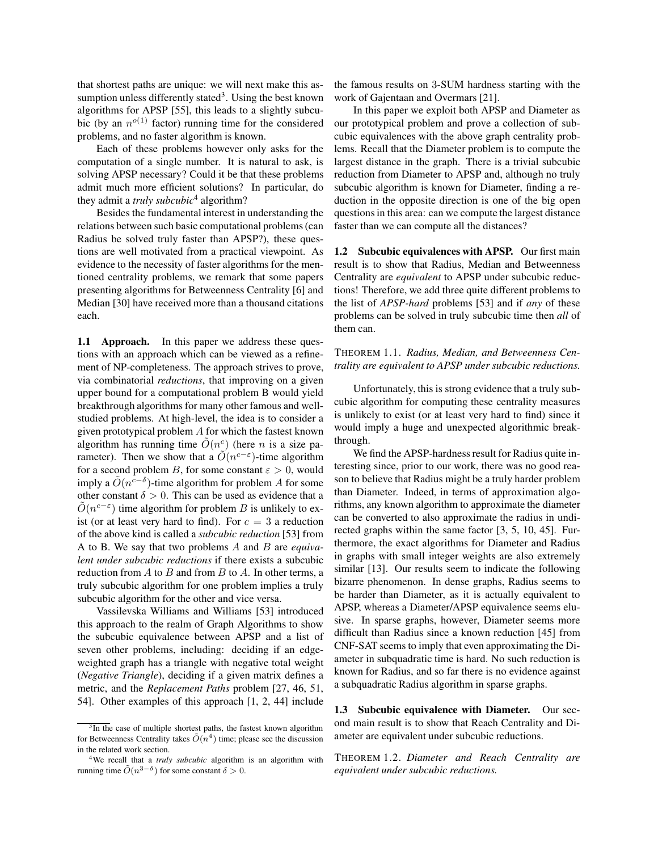that shortest paths are unique: we will next make this assumption unless differently stated<sup>3</sup>. Using the best known algorithms for APSP [55], this leads to a slightly subcubic (by an  $n^{o(1)}$  factor) running time for the considered problems, and no faster algorithm is known.

Each of these problems however only asks for the computation of a single number. It is natural to ask, is solving APSP necessary? Could it be that these problems admit much more efficient solutions? In particular, do they admit a *truly subcubic*<sup>4</sup> algorithm?

Besides the fundamental interest in understanding the relations between such basic computational problems (can Radius be solved truly faster than APSP?), these questions are well motivated from a practical viewpoint. As evidence to the necessity of faster algorithms for the mentioned centrality problems, we remark that some papers presenting algorithms for Betweenness Centrality [6] and Median [30] have received more than a thousand citations each.

1.1 Approach. In this paper we address these questions with an approach which can be viewed as a refinement of NP-completeness. The approach strives to prove, via combinatorial *reductions*, that improving on a given upper bound for a computational problem B would yield breakthrough algorithms for many other famous and wellstudied problems. At high-level, the idea is to consider a given prototypical problem A for which the fastest known algorithm has running time  $\tilde{O}(n^c)$  (here *n* is a size parameter). Then we show that a  $\tilde{O}(n^{c-\epsilon})$ -time algorithm for a second problem B, for some constant  $\varepsilon > 0$ , would imply a  $\tilde{O}(n^{c-\delta})$ -time algorithm for problem A for some other constant  $\delta > 0$ . This can be used as evidence that a  $\tilde{O}(n^{c-\epsilon})$  time algorithm for problem B is unlikely to exist (or at least very hard to find). For  $c = 3$  a reduction of the above kind is called a *subcubic reduction* [53] from A to B. We say that two problems A and B are *equivalent under subcubic reductions* if there exists a subcubic reduction from  $A$  to  $B$  and from  $B$  to  $A$ . In other terms, a truly subcubic algorithm for one problem implies a truly subcubic algorithm for the other and vice versa.

Vassilevska Williams and Williams [53] introduced this approach to the realm of Graph Algorithms to show the subcubic equivalence between APSP and a list of seven other problems, including: deciding if an edgeweighted graph has a triangle with negative total weight (*Negative Triangle*), deciding if a given matrix defines a metric, and the *Replacement Paths* problem [27, 46, 51, 54]. Other examples of this approach [1, 2, 44] include the famous results on 3-SUM hardness starting with the work of Gajentaan and Overmars [21].

In this paper we exploit both APSP and Diameter as our prototypical problem and prove a collection of subcubic equivalences with the above graph centrality problems. Recall that the Diameter problem is to compute the largest distance in the graph. There is a trivial subcubic reduction from Diameter to APSP and, although no truly subcubic algorithm is known for Diameter, finding a reduction in the opposite direction is one of the big open questions in this area: can we compute the largest distance faster than we can compute all the distances?

1.2 Subcubic equivalences with APSP. Our first main result is to show that Radius, Median and Betweenness Centrality are *equivalent* to APSP under subcubic reductions! Therefore, we add three quite different problems to the list of *APSP-hard* problems [53] and if *any* of these problems can be solved in truly subcubic time then *all* of them can.

THEOREM 1.1. *Radius, Median, and Betweenness Centrality are equivalent to APSP under subcubic reductions.*

Unfortunately, this is strong evidence that a truly subcubic algorithm for computing these centrality measures is unlikely to exist (or at least very hard to find) since it would imply a huge and unexpected algorithmic breakthrough.

We find the APSP-hardness result for Radius quite interesting since, prior to our work, there was no good reason to believe that Radius might be a truly harder problem than Diameter. Indeed, in terms of approximation algorithms, any known algorithm to approximate the diameter can be converted to also approximate the radius in undirected graphs within the same factor [3, 5, 10, 45]. Furthermore, the exact algorithms for Diameter and Radius in graphs with small integer weights are also extremely similar [13]. Our results seem to indicate the following bizarre phenomenon. In dense graphs, Radius seems to be harder than Diameter, as it is actually equivalent to APSP, whereas a Diameter/APSP equivalence seems elusive. In sparse graphs, however, Diameter seems more difficult than Radius since a known reduction [45] from CNF-SAT seems to imply that even approximating the Diameter in subquadratic time is hard. No such reduction is known for Radius, and so far there is no evidence against a subquadratic Radius algorithm in sparse graphs.

1.3 Subcubic equivalence with Diameter. Our second main result is to show that Reach Centrality and Diameter are equivalent under subcubic reductions.

THEOREM 1.2. *Diameter and Reach Centrality are equivalent under subcubic reductions.*

<sup>&</sup>lt;sup>3</sup>In the case of multiple shortest paths, the fastest known algorithm for Betweenness Centrality takes  $\tilde{O}(n^4)$  time; please see the discussion in the related work section.

<sup>4</sup>We recall that a *truly subcubic* algorithm is an algorithm with running time  $\tilde{O}(n^{3-\delta})$  for some constant  $\delta > 0$ .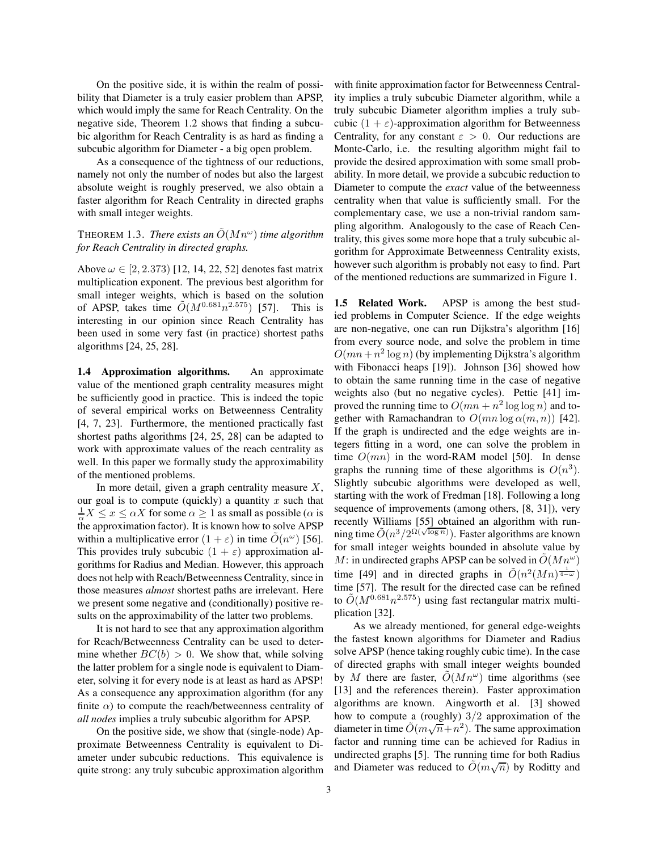On the positive side, it is within the realm of possibility that Diameter is a truly easier problem than APSP, which would imply the same for Reach Centrality. On the negative side, Theorem 1.2 shows that finding a subcubic algorithm for Reach Centrality is as hard as finding a subcubic algorithm for Diameter - a big open problem.

As a consequence of the tightness of our reductions, namely not only the number of nodes but also the largest absolute weight is roughly preserved, we also obtain a faster algorithm for Reach Centrality in directed graphs with small integer weights.

## THEOREM 1.3. *There exists an*  $\tilde{O}(Mn^{\omega})$  *time algorithm for Reach Centrality in directed graphs.*

Above  $\omega \in [2, 2.373)$  [12, 14, 22, 52] denotes fast matrix multiplication exponent. The previous best algorithm for small integer weights, which is based on the solution of APSP, takes time  $\tilde{O}(M^{0.681}n^{2.575})$  [57]. This is interesting in our opinion since Reach Centrality has been used in some very fast (in practice) shortest paths algorithms [24, 25, 28].

1.4 Approximation algorithms. An approximate value of the mentioned graph centrality measures might be sufficiently good in practice. This is indeed the topic of several empirical works on Betweenness Centrality [4, 7, 23]. Furthermore, the mentioned practically fast shortest paths algorithms [24, 25, 28] can be adapted to work with approximate values of the reach centrality as well. In this paper we formally study the approximability of the mentioned problems.

In more detail, given a graph centrality measure  $X$ , our goal is to compute (quickly) a quantity x such that  $\frac{1}{\alpha}X \le x \le \alpha X$  for some  $\alpha \ge 1$  as small as possible ( $\alpha$  is the approximation factor). It is known how to solve APSP within a multiplicative error  $(1 + \varepsilon)$  in time  $\tilde{O}(n^{\omega})$  [56]. This provides truly subcubic  $(1 + \varepsilon)$  approximation algorithms for Radius and Median. However, this approach does not help with Reach/Betweenness Centrality, since in those measures *almost* shortest paths are irrelevant. Here we present some negative and (conditionally) positive results on the approximability of the latter two problems.

It is not hard to see that any approximation algorithm for Reach/Betweenness Centrality can be used to determine whether  $BC(b) > 0$ . We show that, while solving the latter problem for a single node is equivalent to Diameter, solving it for every node is at least as hard as APSP! As a consequence any approximation algorithm (for any finite  $\alpha$ ) to compute the reach/betweenness centrality of *all nodes* implies a truly subcubic algorithm for APSP.

On the positive side, we show that (single-node) Approximate Betweenness Centrality is equivalent to Diameter under subcubic reductions. This equivalence is quite strong: any truly subcubic approximation algorithm

with finite approximation factor for Betweenness Centrality implies a truly subcubic Diameter algorithm, while a truly subcubic Diameter algorithm implies a truly subcubic  $(1 + \varepsilon)$ -approximation algorithm for Betweenness Centrality, for any constant  $\varepsilon > 0$ . Our reductions are Monte-Carlo, i.e. the resulting algorithm might fail to provide the desired approximation with some small probability. In more detail, we provide a subcubic reduction to Diameter to compute the *exact* value of the betweenness centrality when that value is sufficiently small. For the complementary case, we use a non-trivial random sampling algorithm. Analogously to the case of Reach Centrality, this gives some more hope that a truly subcubic algorithm for Approximate Betweenness Centrality exists, however such algorithm is probably not easy to find. Part of the mentioned reductions are summarized in Figure 1.

1.5 Related Work. APSP is among the best studied problems in Computer Science. If the edge weights are non-negative, one can run Dijkstra's algorithm [16] from every source node, and solve the problem in time  $O(mn+n^2 \log n)$  (by implementing Dijkstra's algorithm with Fibonacci heaps [19]). Johnson [36] showed how to obtain the same running time in the case of negative weights also (but no negative cycles). Pettie [41] improved the running time to  $O(mn + n^2 \log \log n)$  and together with Ramachandran to  $O(mn \log \alpha(m, n))$  [42]. If the graph is undirected and the edge weights are integers fitting in a word, one can solve the problem in time  $O(mn)$  in the word-RAM model [50]. In dense graphs the running time of these algorithms is  $O(n^3)$ . Slightly subcubic algorithms were developed as well, starting with the work of Fredman [18]. Following a long sequence of improvements (among others, [8, 31]), very recently Williams [55] obtained an algorithm with run- $\lim_{n \to \infty} \frac{\sqrt{2} \cdot \sqrt{(\log n)}}{2}$ . Faster algorithms are known for small integer weights bounded in absolute value by M: in undirected graphs APSP can be solved in  $\tilde{O}(Mn^{\omega})$ time [49] and in directed graphs in  $\tilde{O}(n^2 (Mn)^{\frac{1}{4-\omega}})$ time [57]. The result for the directed case can be refined to  $\tilde{O}(M^{0.681}n^{2.575})$  using fast rectangular matrix multiplication [32].

As we already mentioned, for general edge-weights the fastest known algorithms for Diameter and Radius solve APSP (hence taking roughly cubic time). In the case of directed graphs with small integer weights bounded by M there are faster,  $O(Mn^{\omega})$  time algorithms (see [13] and the references therein). Faster approximation algorithms are known. Aingworth et al. [3] showed how to compute a (roughly) 3/2 approximation of the diameter in time  $O(m\sqrt{n}+n^2)$ . The same approximation factor and running time can be achieved for Radius in undirected graphs [5]. The running time for both Radius and Diameter was reduced to  $\tilde{O}(m\sqrt{n})$  by Roditty and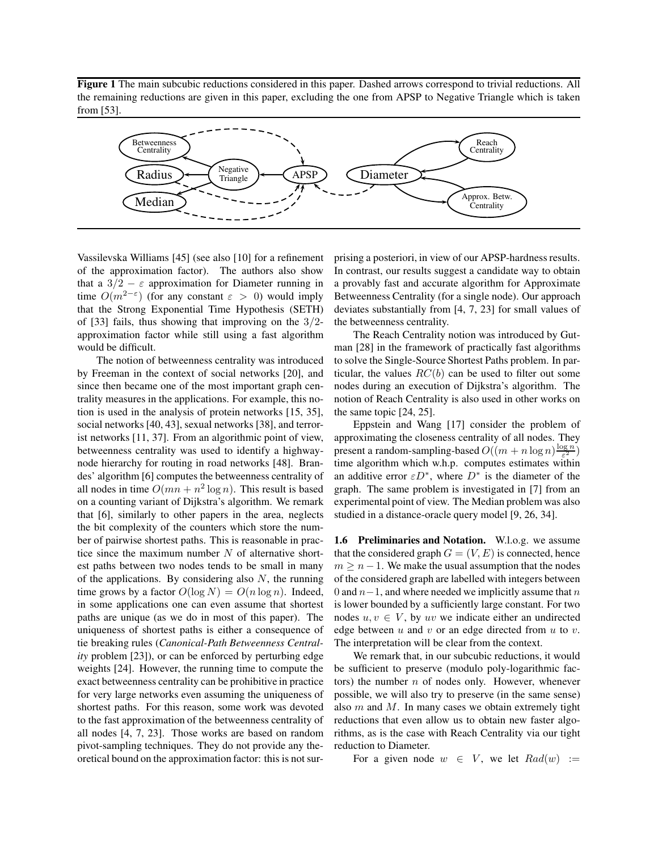Figure 1 The main subcubic reductions considered in this paper. Dashed arrows correspond to trivial reductions. All the remaining reductions are given in this paper, excluding the one from APSP to Negative Triangle which is taken from [53].



Vassilevska Williams [45] (see also [10] for a refinement of the approximation factor). The authors also show that a  $3/2 - \varepsilon$  approximation for Diameter running in time  $O(m^{2-\epsilon})$  (for any constant  $\varepsilon > 0$ ) would imply that the Strong Exponential Time Hypothesis (SETH) of [33] fails, thus showing that improving on the  $3/2$ approximation factor while still using a fast algorithm would be difficult.

The notion of betweenness centrality was introduced by Freeman in the context of social networks [20], and since then became one of the most important graph centrality measures in the applications. For example, this notion is used in the analysis of protein networks [15, 35], social networks [40, 43], sexual networks [38], and terrorist networks [11, 37]. From an algorithmic point of view, betweenness centrality was used to identify a highwaynode hierarchy for routing in road networks [48]. Brandes' algorithm [6] computes the betweenness centrality of all nodes in time  $O(mn + n^2 \log n)$ . This result is based on a counting variant of Dijkstra's algorithm. We remark that [6], similarly to other papers in the area, neglects the bit complexity of the counters which store the number of pairwise shortest paths. This is reasonable in practice since the maximum number  $N$  of alternative shortest paths between two nodes tends to be small in many of the applications. By considering also  $N$ , the running time grows by a factor  $O(\log N) = O(n \log n)$ . Indeed, in some applications one can even assume that shortest paths are unique (as we do in most of this paper). The uniqueness of shortest paths is either a consequence of tie breaking rules (*Canonical-Path Betweenness Centrality* problem [23]), or can be enforced by perturbing edge weights [24]. However, the running time to compute the exact betweenness centrality can be prohibitive in practice for very large networks even assuming the uniqueness of shortest paths. For this reason, some work was devoted to the fast approximation of the betweenness centrality of all nodes [4, 7, 23]. Those works are based on random pivot-sampling techniques. They do not provide any theoretical bound on the approximation factor: this is not sur-

prising a posteriori, in view of our APSP-hardness results. In contrast, our results suggest a candidate way to obtain a provably fast and accurate algorithm for Approximate Betweenness Centrality (for a single node). Our approach deviates substantially from [4, 7, 23] for small values of the betweenness centrality.

The Reach Centrality notion was introduced by Gutman [28] in the framework of practically fast algorithms to solve the Single-Source Shortest Paths problem. In particular, the values  $RC(b)$  can be used to filter out some nodes during an execution of Dijkstra's algorithm. The notion of Reach Centrality is also used in other works on the same topic [24, 25].

Eppstein and Wang [17] consider the problem of approximating the closeness centrality of all nodes. They present a random-sampling-based  $O((m + n \log n)^{\frac{\log n}{\varepsilon^2}})$ time algorithm which w.h.p. computes estimates within an additive error  $\varepsilon D^*$ , where  $D^*$  is the diameter of the graph. The same problem is investigated in [7] from an experimental point of view. The Median problem was also studied in a distance-oracle query model [9, 26, 34].

1.6 Preliminaries and Notation. W.l.o.g. we assume that the considered graph  $G = (V, E)$  is connected, hence  $m \geq n - 1$ . We make the usual assumption that the nodes of the considered graph are labelled with integers between 0 and  $n-1$ , and where needed we implicitly assume that n is lower bounded by a sufficiently large constant. For two nodes  $u, v \in V$ , by uv we indicate either an undirected edge between  $u$  and  $v$  or an edge directed from  $u$  to  $v$ . The interpretation will be clear from the context.

We remark that, in our subcubic reductions, it would be sufficient to preserve (modulo poly-logarithmic factors) the number  $n$  of nodes only. However, whenever possible, we will also try to preserve (in the same sense) also  $m$  and  $M$ . In many cases we obtain extremely tight reductions that even allow us to obtain new faster algorithms, as is the case with Reach Centrality via our tight reduction to Diameter.

For a given node  $w \in V$ , we let  $Rad(w) :=$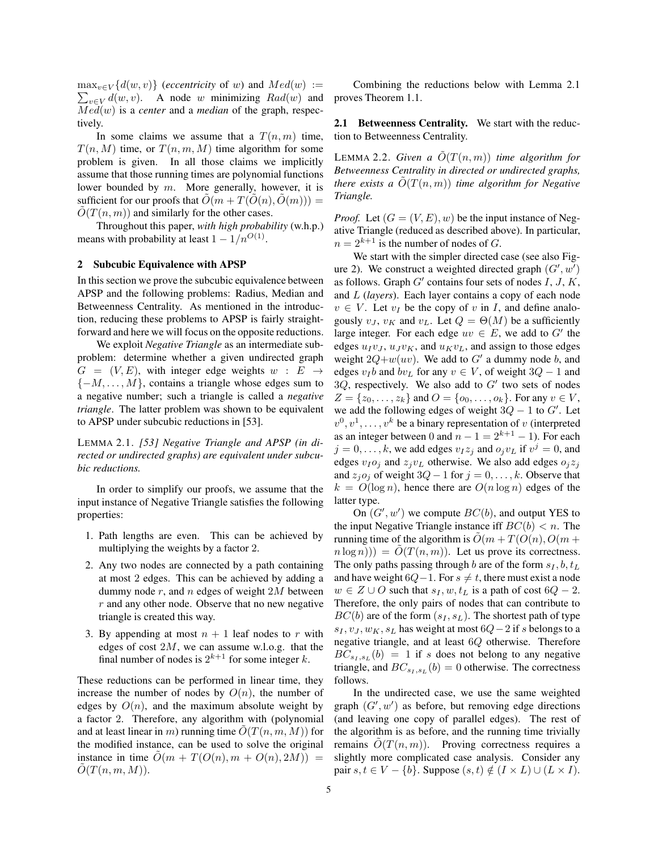$\max_{v \in V} \{d(w, v)\}\;$  (eccentricity of w) and  $Med(w) :=$  $\max_{v \in V} \{d(w, v)\}$  (*eccentricity* of w) and  $Med(w) := \sum_{v \in V} d(w, v)$ . A node w minimizing  $Rad(w)$  and Med(w) is a *center* and a *median* of the graph, respectively.

In some claims we assume that a  $T(n, m)$  time,  $T(n, M)$  time, or  $T(n, m, M)$  time algorithm for some problem is given. In all those claims we implicitly assume that those running times are polynomial functions lower bounded by m. More generally, however, it is sufficient for our proofs that  $O(m + T(O(n), O(m)))$  =  $O(T(n, m))$  and similarly for the other cases.

Throughout this paper, *with high probability* (w.h.p.) means with probability at least  $1 - 1/n^{O(1)}$ .

## 2 Subcubic Equivalence with APSP

In this section we prove the subcubic equivalence between APSP and the following problems: Radius, Median and Betweenness Centrality. As mentioned in the introduction, reducing these problems to APSP is fairly straightforward and here we will focus on the opposite reductions.

We exploit *Negative Triangle* as an intermediate subproblem: determine whether a given undirected graph  $G = (V, E)$ , with integer edge weights  $w : E \rightarrow$  $\{-M,\ldots,M\}$ , contains a triangle whose edges sum to a negative number; such a triangle is called a *negative triangle*. The latter problem was shown to be equivalent to APSP under subcubic reductions in [53].

LEMMA 2.1. *[53] Negative Triangle and APSP (in directed or undirected graphs) are equivalent under subcubic reductions.*

In order to simplify our proofs, we assume that the input instance of Negative Triangle satisfies the following properties:

- 1. Path lengths are even. This can be achieved by multiplying the weights by a factor 2.
- 2. Any two nodes are connected by a path containing at most 2 edges. This can be achieved by adding a dummy node  $r$ , and  $n$  edges of weight  $2M$  between  $r$  and any other node. Observe that no new negative triangle is created this way.
- 3. By appending at most  $n + 1$  leaf nodes to r with edges of cost  $2M$ , we can assume w.l.o.g. that the final number of nodes is  $2^{k+1}$  for some integer k.

These reductions can be performed in linear time, they increase the number of nodes by  $O(n)$ , the number of edges by  $O(n)$ , and the maximum absolute weight by a factor 2. Therefore, any algorithm with (polynomial and at least linear in m) running time  $\tilde{O}(T(n, m, M))$  for the modified instance, can be used to solve the original instance in time  $O(m + T(O(n), m + O(n), 2M))$  =  $O(T(n, m, M)).$ 

Combining the reductions below with Lemma 2.1 proves Theorem 1.1.

2.1 Betweenness Centrality. We start with the reduction to Betweenness Centrality.

LEMMA 2.2. *Given a*  $\tilde{O}(T(n,m))$  *time algorithm for Betweenness Centrality in directed or undirected graphs, there exists a*  $O(T(n, m))$  *time algorithm for Negative Triangle.*

*Proof.* Let  $(G = (V, E), w)$  be the input instance of Negative Triangle (reduced as described above). In particular,  $n = 2^{k+1}$  is the number of nodes of G.

We start with the simpler directed case (see also Figure 2). We construct a weighted directed graph  $(G', w')$ as follows. Graph  $G'$  contains four sets of nodes  $I, J, K$ , and L (*layers*). Each layer contains a copy of each node  $v \in V$ . Let  $v_I$  be the copy of v in I, and define analogously  $v_J$ ,  $v_K$  and  $v_L$ . Let  $Q = \Theta(M)$  be a sufficiently large integer. For each edge  $uv \in E$ , we add to G' the edges  $u_I v_J$ ,  $u_J v_K$ , and  $u_K v_L$ , and assign to those edges weight  $2Q+w(uv)$ . We add to G' a dummy node b, and edges  $v_I b$  and  $bv_L$  for any  $v \in V$ , of weight  $3Q - 1$  and  $3Q$ , respectively. We also add to  $G'$  two sets of nodes  $Z = \{z_0, \ldots, z_k\}$  and  $O = \{o_0, \ldots, o_k\}$ . For any  $v \in V$ , we add the following edges of weight  $3Q - 1$  to  $G'$ . Let  $v^0, v^1, \ldots, v^k$  be a binary representation of v (interpreted as an integer between 0 and  $n - 1 = 2^{k+1} - 1$ . For each  $j = 0, \ldots, k$ , we add edges  $v_I z_j$  and  $o_j v_L$  if  $v^j = 0$ , and edges  $v_I o_i$  and  $z_i v_L$  otherwise. We also add edges  $o_i z_i$ and  $z_i o_j$  of weight  $3Q - 1$  for  $j = 0, \ldots, k$ . Observe that  $k = O(\log n)$ , hence there are  $O(n \log n)$  edges of the latter type.

On  $(G', w')$  we compute  $BC(b)$ , and output YES to the input Negative Triangle instance iff  $BC(b) < n$ . The running time of the algorithm is  $\ddot{O}(m + T(O(n), O(m +$  $n \log n$ )) =  $\tilde{O}(T(n,m))$ . Let us prove its correctness. The only paths passing through b are of the form  $s_I, b, t_L$ and have weight  $6Q-1$ . For  $s \neq t$ , there must exist a node  $w \in Z \cup O$  such that  $s_I, w, t_L$  is a path of cost  $6Q - 2$ . Therefore, the only pairs of nodes that can contribute to  $BC(b)$  are of the form  $(s_I, s_L)$ . The shortest path of type  $s_I, v_J, w_K, s_L$  has weight at most 6Q – 2 if s belongs to a negative triangle, and at least 6Q otherwise. Therefore  $BC_{s_1,s_L}(b)=1$  if s does not belong to any negative triangle, and  $BC_{s_I, s_L} (b) = 0$  otherwise. The correctness follows.

In the undirected case, we use the same weighted graph  $(G', w')$  as before, but removing edge directions (and leaving one copy of parallel edges). The rest of the algorithm is as before, and the running time trivially remains  $\tilde{O}(T(n,m))$ . Proving correctness requires a slightly more complicated case analysis. Consider any pair  $s, t \in V - \{b\}$ . Suppose  $(s, t) \notin (I \times L) \cup (L \times I)$ .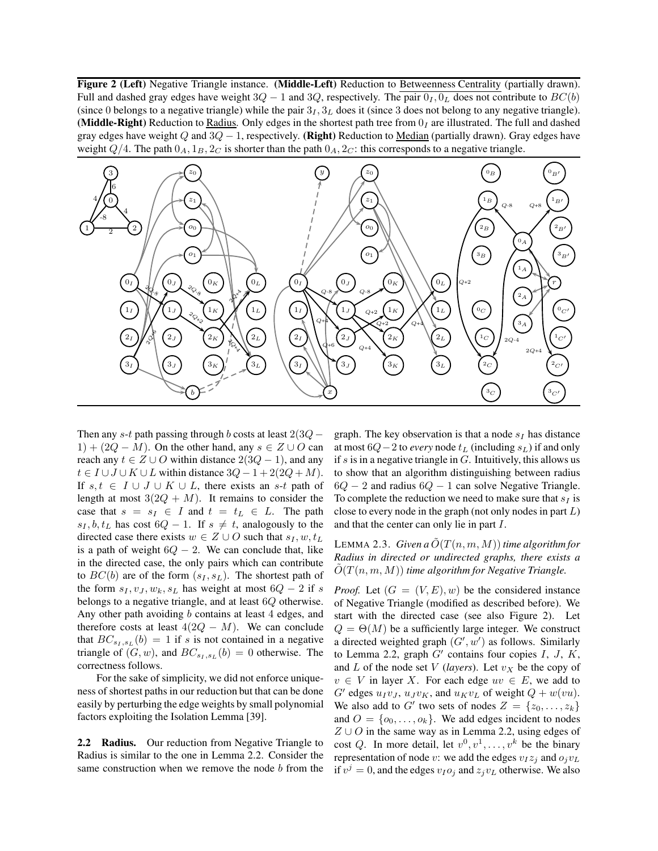Figure 2 (Left) Negative Triangle instance. (Middle-Left) Reduction to Betweenness Centrality (partially drawn). Full and dashed gray edges have weight  $3Q - 1$  and  $3Q$ , respectively. The pair  $0<sub>L</sub>$ ,  $0<sub>L</sub>$  does not contribute to  $BC(b)$ (since 0 belongs to a negative triangle) while the pair  $3<sub>I</sub>, 3<sub>L</sub>$  does it (since 3 does not belong to any negative triangle). (Middle-Right) Reduction to Radius. Only edges in the shortest path tree from  $0<sub>I</sub>$  are illustrated. The full and dashed gray edges have weight  $Q$  and  $3Q - 1$ , respectively. (Right) Reduction to <u>Median</u> (partially drawn). Gray edges have weight  $Q/4$ . The path  $0_A$ ,  $1_B$ ,  $2_C$  is shorter than the path  $0_A$ ,  $2_C$ : this corresponds to a negative triangle.



Then any s-t path passing through b costs at least  $2(3Q 1) + (2Q - M)$ . On the other hand, any  $s \in Z \cup O$  can reach any  $t \in Z \cup O$  within distance  $2(3Q - 1)$ , and any  $t \in I \cup J \cup K \cup L$  within distance  $3Q - 1 + 2(2Q + M)$ . If  $s, t \in I \cup J \cup K \cup L$ , there exists an s-t path of length at most  $3(2Q + M)$ . It remains to consider the case that  $s = s_I \in I$  and  $t = t_L \in L$ . The path  $s_I, b, t_L$  has cost  $6Q - 1$ . If  $s \neq t$ , analogously to the directed case there exists  $w \in Z \cup O$  such that  $s_I, w, t_L$ is a path of weight  $6Q - 2$ . We can conclude that, like in the directed case, the only pairs which can contribute to  $BC(b)$  are of the form  $(s_I, s_L)$ . The shortest path of the form  $s_I, v_J, w_k, s_L$  has weight at most  $6Q - 2$  if s belongs to a negative triangle, and at least 6Q otherwise. Any other path avoiding b contains at least 4 edges, and therefore costs at least  $4(2Q - M)$ . We can conclude that  $BC_{s_I,s_L}(b)=1$  if s is not contained in a negative triangle of  $(G, w)$ , and  $BC_{s_I, s_L}(b) = 0$  otherwise. The correctness follows.

For the sake of simplicity, we did not enforce uniqueness of shortest paths in our reduction but that can be done easily by perturbing the edge weights by small polynomial factors exploiting the Isolation Lemma [39].

2.2 Radius. Our reduction from Negative Triangle to Radius is similar to the one in Lemma 2.2. Consider the same construction when we remove the node  $b$  from the

graph. The key observation is that a node  $s_I$  has distance at most  $6Q-2$  to *every* node  $t_L$  (including  $s_L$ ) if and only if  $s$  is in a negative triangle in  $G$ . Intuitively, this allows us to show that an algorithm distinguishing between radius  $6Q - 2$  and radius  $6Q - 1$  can solve Negative Triangle. To complete the reduction we need to make sure that  $s_I$  is close to every node in the graph (not only nodes in part  $L$ ) and that the center can only lie in part I.

LEMMA 2.3. *Given a*  $O(T(n, m, M))$  *time algorithm for Radius in directed or undirected graphs, there exists a*  $O(T(n, m, M))$  *time algorithm for Negative Triangle.* 

*Proof.* Let  $(G = (V, E), w)$  be the considered instance of Negative Triangle (modified as described before). We start with the directed case (see also Figure 2). Let  $Q = \Theta(M)$  be a sufficiently large integer. We construct a directed weighted graph  $(G', w')$  as follows. Similarly to Lemma 2.2, graph  $G'$  contains four copies  $I, J, K$ , and  $L$  of the node set  $V$  (*layers*). Let  $v_X$  be the copy of  $v \in V$  in layer X. For each edge  $uv \in E$ , we add to  $G'$  edges  $u_I v_J$ ,  $u_J v_K$ , and  $u_K v_L$  of weight  $Q + w(vu)$ . We also add to G' two sets of nodes  $Z = \{z_0, \ldots, z_k\}$ and  $O = \{o_0, \ldots, o_k\}$ . We add edges incident to nodes  $Z \cup O$  in the same way as in Lemma 2.2, using edges of cost Q. In more detail, let  $v^0, v^1, \ldots, v^k$  be the binary representation of node v: we add the edges  $v_I z_i$  and  $o_i v_L$ if  $v^j = 0$ , and the edges  $v_I o_j$  and  $z_i v_L$  otherwise. We also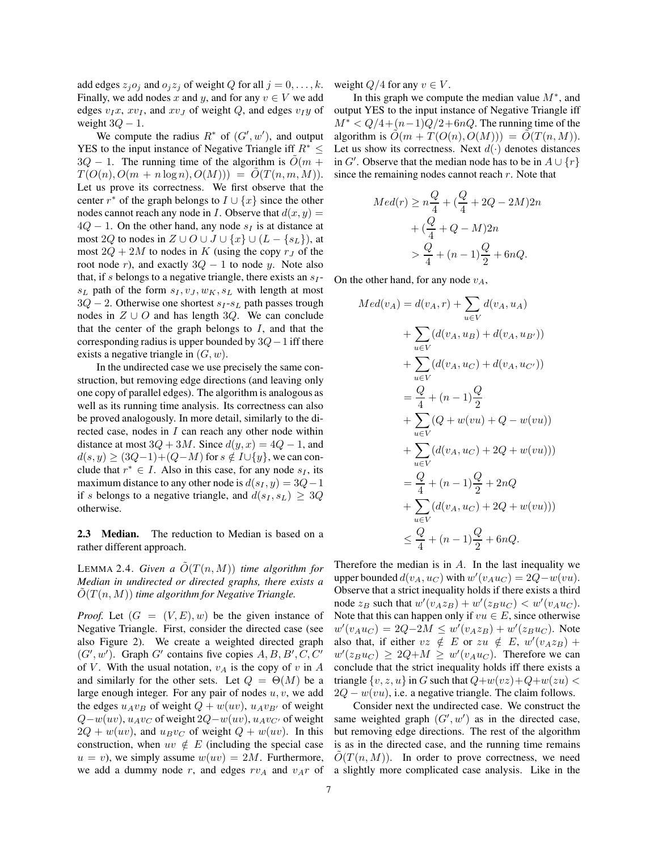add edges  $z_i o_j$  and  $o_i z_j$  of weight Q for all  $j = 0, \ldots, k$ . Finally, we add nodes x and y, and for any  $v \in V$  we add edges  $v_Ix$ ,  $xv_I$ , and  $xv_J$  of weight Q, and edges  $v_Iy$  of weight  $3Q - 1$ .

We compute the radius  $R^*$  of  $(G', w')$ , and output YES to the input instance of Negative Triangle iff  $R^*$  <  $3Q - 1$ . The running time of the algorithm is  $O(m + 1)$  $T(O(n), O(m + n \log n), O(M))) = O(T(n, m, M)).$ Let us prove its correctness. We first observe that the center  $r^*$  of the graph belongs to  $I \cup \{x\}$  since the other nodes cannot reach any node in I. Observe that  $d(x, y) =$  $4Q - 1$ . On the other hand, any node  $s_I$  is at distance at most 2Q to nodes in  $Z \cup O \cup J \cup \{x\} \cup (L - \{s_L\})$ , at most  $2Q + 2M$  to nodes in K (using the copy  $r<sub>J</sub>$  of the root node r), and exactly  $3Q - 1$  to node y. Note also that, if s belongs to a negative triangle, there exists an  $s_I$  $s_L$  path of the form  $s_I, v_J, w_K, s_L$  with length at most  $3Q - 2$ . Otherwise one shortest  $s_I - s_L$  path passes trough nodes in  $Z \cup O$  and has length 3Q. We can conclude that the center of the graph belongs to  $I$ , and that the corresponding radius is upper bounded by  $3Q-1$  iff there exists a negative triangle in  $(G, w)$ .

In the undirected case we use precisely the same construction, but removing edge directions (and leaving only one copy of parallel edges). The algorithm is analogous as well as its running time analysis. Its correctness can also be proved analogously. In more detail, similarly to the directed case, nodes in I can reach any other node within distance at most  $3Q + 3M$ . Since  $d(y, x) = 4Q - 1$ , and  $d(s, y) \geq (3Q-1)+(Q-M)$  for  $s \notin I \cup \{y\}$ , we can conclude that  $r^* \in I$ . Also in this case, for any node  $s_I$ , its maximum distance to any other node is  $d(s<sub>I</sub>, y)=3Q-1$ if s belongs to a negative triangle, and  $d(s_I, s_L) \geq 3Q$ otherwise.

2.3 Median. The reduction to Median is based on a rather different approach.

LEMMA 2.4. *Given a*  $O(T(n, M))$  *time algorithm for Median in undirected or directed graphs, there exists a*  $\tilde{O}(T(n, M))$  *time algorithm for Negative Triangle.* 

*Proof.* Let  $(G = (V, E), w)$  be the given instance of Negative Triangle. First, consider the directed case (see also Figure 2). We create a weighted directed graph  $(G', w')$ . Graph G' contains five copies  $A, B, B', C, C'$ of V. With the usual notation,  $v_A$  is the copy of v in A and similarly for the other sets. Let  $Q = \Theta(M)$  be a large enough integer. For any pair of nodes  $u, v$ , we add the edges  $u_Av_B$  of weight  $Q + w(uv)$ ,  $u_Av_{B'}$  of weight  $Q-w(uv)$ ,  $u_Av_C$  of weight  $2Q-w(uv)$ ,  $u_Av_{C'}$  of weight  $2Q + w(uv)$ , and  $u_Bv_C$  of weight  $Q + w(uv)$ . In this construction, when  $uv \notin E$  (including the special case  $u = v$ , we simply assume  $w(uv)=2M$ . Furthermore, we add a dummy node r, and edges  $rv_A$  and  $v_Ar$  of weight  $Q/4$  for any  $v \in V$ .

In this graph we compute the median value  $M^*$ , and output YES to the input instance of Negative Triangle iff  $M^* < Q/4 + (n-1)Q/2 + 6nQ$ . The running time of the algorithm is  $\tilde{O}(m + T(O(n), O(M))) = \tilde{O}(T(n, M)).$ Let us show its correctness. Next  $d(\cdot)$  denotes distances in G'. Observe that the median node has to be in  $A \cup \{r\}$ since the remaining nodes cannot reach  $r$ . Note that

$$
Med(r) \ge n\frac{Q}{4} + (\frac{Q}{4} + 2Q - 2M)2n
$$

$$
+ (\frac{Q}{4} + Q - M)2n
$$

$$
> \frac{Q}{4} + (n - 1)\frac{Q}{2} + 6nQ.
$$

On the other hand, for any node  $v_A$ ,

$$
Med(v_A) = d(v_A, r) + \sum_{u \in V} d(v_A, u_A)
$$
  
+ 
$$
\sum_{u \in V} (d(v_A, u_B) + d(v_A, u_{B'}))
$$
  
+ 
$$
\sum_{u \in V} (d(v_A, u_C) + d(v_A, u_{C'}))
$$
  
= 
$$
\frac{Q}{4} + (n - 1)\frac{Q}{2}
$$
  
+ 
$$
\sum_{u \in V} (Q + w(vu) + Q - w(vu))
$$
  
+ 
$$
\sum_{u \in V} (d(v_A, u_C) + 2Q + w(vu)))
$$
  
= 
$$
\frac{Q}{4} + (n - 1)\frac{Q}{2} + 2nQ
$$
  
+ 
$$
\sum_{u \in V} (d(v_A, u_C) + 2Q + w(vu)))
$$
  

$$
\leq \frac{Q}{4} + (n - 1)\frac{Q}{2} + 6nQ.
$$

Therefore the median is in  $A$ . In the last inequality we upper bounded  $d(v_A, u_C)$  with  $w'(v_A u_C) = 2Q - w(vu)$ . Observe that a strict inequality holds if there exists a third node  $z_B$  such that  $w'(v_A z_B) + w'(z_B u_C) < w'(v_A u_C)$ . Note that this can happen only if  $vu \in E$ , since otherwise  $w'(v_A u_C) = 2Q - 2M \leq w'(v_A z_B) + w'(z_B u_C)$ . Note also that, if either  $vz \notin E$  or  $zu \notin E$ ,  $w'(v_A z_B)$  +  $w'(z_B u_C) \ge 2Q + M \ge w'(v_A u_C)$ . Therefore we can conclude that the strict inequality holds iff there exists a triangle  $\{v, z, u\}$  in G such that  $Q+w(vz)+Q+w(zu)$  <  $2Q - w(vu)$ , i.e. a negative triangle. The claim follows.

Consider next the undirected case. We construct the same weighted graph  $(G', w')$  as in the directed case, but removing edge directions. The rest of the algorithm is as in the directed case, and the running time remains  $O(T(n, M))$ . In order to prove correctness, we need a slightly more complicated case analysis. Like in the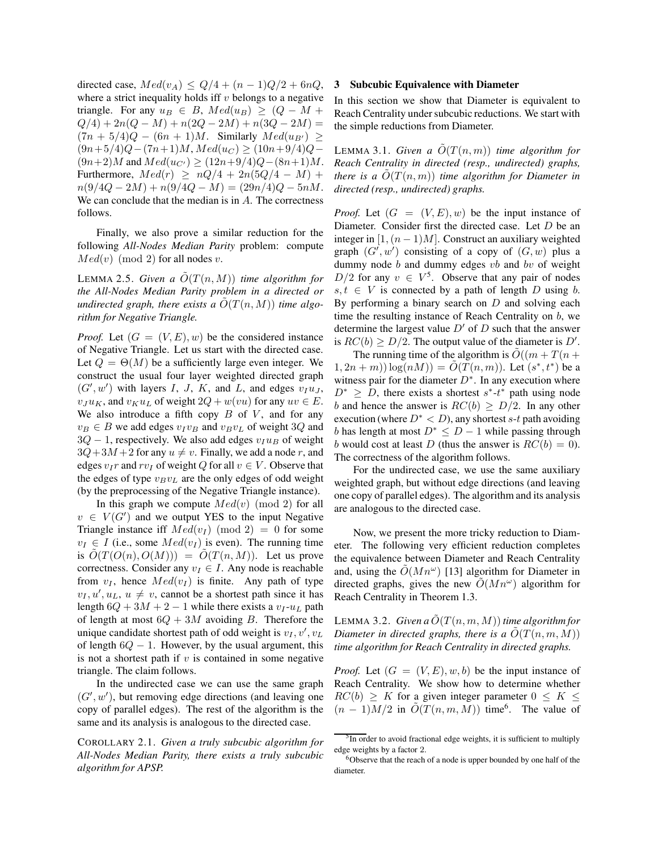directed case,  $Med(v_A) \leq Q/4 + (n-1)Q/2 + 6nQ$ , where a strict inequality holds iff  $v$  belongs to a negative triangle. For any  $u_B \in B$ ,  $Med(u_B) \geq (Q - M +$  $Q/4$ ) + 2n( $Q - M$ ) + n(2 $Q - 2M$ ) + n(3 $Q - 2M$ ) =  $(7n + 5/4)Q - (6n + 1)M$ . Similarly  $Med(u_{B'}) \geq$  $(9n+5/4)Q-(7n+1)M, Med(u<sub>C</sub>) \geq (10n+9/4)Q (9n+2)M$  and  $Med(u_{C'}) \ge (12n+9/4)Q-(8n+1)M$ . Furthermore,  $Med(r) \geq nQ/4 + 2n(5Q/4 - M) +$  $n(9/4Q - 2M) + n(9/4Q - M) = (29n/4)Q - 5nM.$ We can conclude that the median is in  $A$ . The correctness follows.

Finally, we also prove a similar reduction for the following *All-Nodes Median Parity* problem: compute  $Med(v) \pmod{2}$  for all nodes v.

LEMMA 2.5. *Given a*  $\tilde{O}(T(n, M))$  *time algorithm for the All-Nodes Median Parity problem in a directed or undirected graph, there exists a*  $O(T(n, M))$  *time algorithm for Negative Triangle.*

*Proof.* Let  $(G = (V, E), w)$  be the considered instance of Negative Triangle. Let us start with the directed case. Let  $Q = \Theta(M)$  be a sufficiently large even integer. We construct the usual four layer weighted directed graph  $(G', w')$  with layers I, J, K, and L, and edges  $v_I u_J$ ,  $v_J u_K$ , and  $v_K u_L$  of weight  $2Q + w(vu)$  for any  $uv \in E$ . We also introduce a fifth copy  $B$  of  $V$ , and for any  $v_B \in B$  we add edges  $v_I v_B$  and  $v_B v_L$  of weight 3Q and  $3Q - 1$ , respectively. We also add edges  $v_I u_B$  of weight  $3Q+3M+2$  for any  $u \neq v$ . Finally, we add a node r, and edges  $v_I r$  and  $rv_I$  of weight Q for all  $v \in V$ . Observe that the edges of type  $v_Bv_L$  are the only edges of odd weight (by the preprocessing of the Negative Triangle instance).

In this graph we compute  $Med(v)$  (mod 2) for all  $v \in V(G')$  and we output YES to the input Negative Triangle instance iff  $Med(v_I) \pmod{2} = 0$  for some  $v_I \in I$  (i.e., some  $Med(v_I)$  is even). The running time is  $O(T(O(n), O(M))) = O(T(n, M))$ . Let us prove correctness. Consider any  $v_I \in I$ . Any node is reachable from  $v_I$ , hence  $Med(v_I)$  is finite. Any path of type  $v_I, u', u_L, u \neq v$ , cannot be a shortest path since it has length  $6Q + 3M + 2 - 1$  while there exists a  $v_I$ - $u_L$  path of length at most  $6Q + 3M$  avoiding B. Therefore the unique candidate shortest path of odd weight is  $v_I, v', v_L$ of length  $6Q - 1$ . However, by the usual argument, this is not a shortest path if  $v$  is contained in some negative triangle. The claim follows.

In the undirected case we can use the same graph  $(G', w')$ , but removing edge directions (and leaving one copy of parallel edges). The rest of the algorithm is the same and its analysis is analogous to the directed case.

COROLLARY 2.1. *Given a truly subcubic algorithm for All-Nodes Median Parity, there exists a truly subcubic algorithm for APSP.*

#### 3 Subcubic Equivalence with Diameter

In this section we show that Diameter is equivalent to Reach Centrality under subcubic reductions. We start with the simple reductions from Diameter.

LEMMA 3.1. *Given a*  $\tilde{O}(T(n,m))$  *time algorithm for Reach Centrality in directed (resp., undirected) graphs, there is a*  $O(T(n, m))$  *time algorithm for Diameter in directed (resp., undirected) graphs.*

*Proof.* Let  $(G = (V, E), w)$  be the input instance of Diameter. Consider first the directed case. Let D be an integer in  $[1,(n-1)M]$ . Construct an auxiliary weighted graph  $(G', w')$  consisting of a copy of  $(G, w)$  plus a dummy node  $b$  and dummy edges  $vb$  and  $bv$  of weight  $D/2$  for any  $v \in V^5$ . Observe that any pair of nodes  $s, t \in V$  is connected by a path of length D using b. By performing a binary search on  $D$  and solving each time the resulting instance of Reach Centrality on b, we determine the largest value  $D'$  of  $D$  such that the answer is  $RC(b) \geq D/2$ . The output value of the diameter is D'.

The running time of the algorithm is  $\tilde{O}((m + T(n +$  $(1, 2n + m)) \log(nM) = \tilde{O}(T(n,m)).$  Let  $(s^*, t^*)$  be a witness pair for the diameter  $D^*$ . In any execution where  $D^* \geq D$ , there exists a shortest  $s^*$ - $t^*$  path using node b and hence the answer is  $RC(b) > D/2$ . In any other execution (where  $D^* < D$ ), any shortest s-t path avoiding b has length at most  $D^* \leq D - 1$  while passing through b would cost at least D (thus the answer is  $RC(b)=0$ ). The correctness of the algorithm follows.

For the undirected case, we use the same auxiliary weighted graph, but without edge directions (and leaving one copy of parallel edges). The algorithm and its analysis are analogous to the directed case.

Now, we present the more tricky reduction to Diameter. The following very efficient reduction completes the equivalence between Diameter and Reach Centrality and, using the  $\tilde{O}(Mn^{\omega})$  [13] algorithm for Diameter in directed graphs, gives the new  $\tilde{O}(Mn^{\omega})$  algorithm for Reach Centrality in Theorem 1.3.

LEMMA 3.2. *Given a*  $\tilde{O}(T(n, m, M))$  *time algorithm for Diameter in directed graphs, there is a*  $O(T(n, m, M))$ *time algorithm for Reach Centrality in directed graphs.*

*Proof.* Let  $(G = (V, E), w, b)$  be the input instance of Reach Centrality. We show how to determine whether  $RC(b) \geq K$  for a given integer parameter  $0 \leq K \leq$  $(n-1)M/2$  in  $\tilde{O}(T(n,m,M))$  time<sup>6</sup>. The value of

 $\frac{5 \text{In order}}{2}$  to avoid fractional edge weights, it is sufficient to multiply edge weights by a factor 2.

<sup>6</sup>Observe that the reach of a node is upper bounded by one half of the diameter.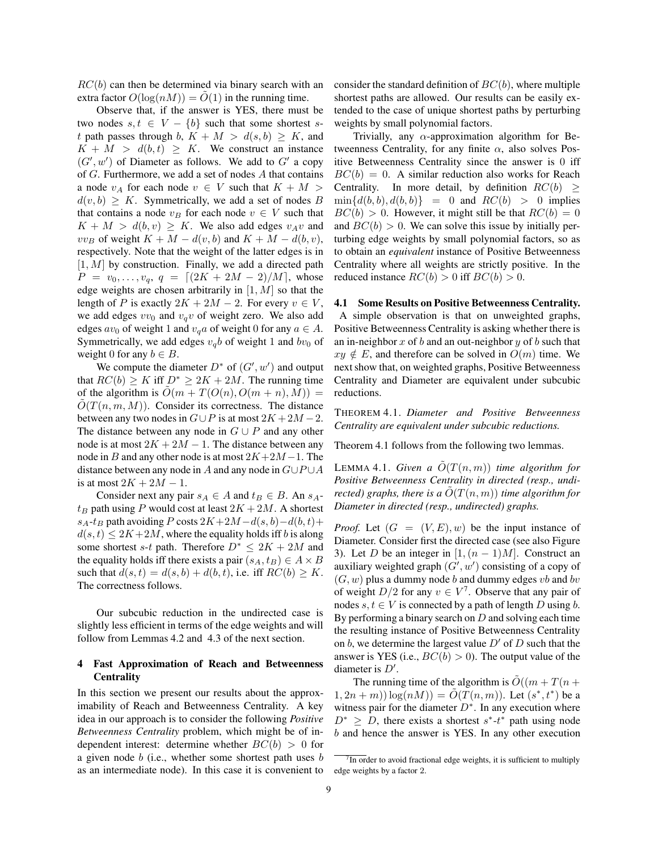$RC(b)$  can then be determined via binary search with an extra factor  $O(log(nM)) = O(1)$  in the running time.

Observe that, if the answer is YES, there must be two nodes  $s, t \in V - \{b\}$  such that some shortest st path passes through b,  $K + M > d(s, b) \geq K$ , and  $K + M > d(b, t) \geq K$ . We construct an instance  $(G', w')$  of Diameter as follows. We add to  $G'$  a copy of G. Furthermore, we add a set of nodes A that contains a node  $v_A$  for each node  $v \in V$  such that  $K + M >$  $d(v, b) \geq K$ . Symmetrically, we add a set of nodes B that contains a node  $v_B$  for each node  $v \in V$  such that  $K + M > d(b, v) \geq K$ . We also add edges  $v_A v$  and  $vv_B$  of weight  $K + M - d(v, b)$  and  $K + M - d(b, v)$ , respectively. Note that the weight of the latter edges is in  $[1, M]$  by construction. Finally, we add a directed path  $P = v_0, \ldots, v_q, q = [(2K + 2M - 2)/M]$ , whose edge weights are chosen arbitrarily in  $[1, M]$  so that the length of P is exactly  $2K + 2M - 2$ . For every  $v \in V$ , we add edges  $vv_0$  and  $v_qv$  of weight zero. We also add edges  $av_0$  of weight 1 and  $v_a a$  of weight 0 for any  $a \in A$ . Symmetrically, we add edges  $v_qb$  of weight 1 and  $bv_0$  of weight 0 for any  $b \in B$ .

We compute the diameter  $D^*$  of  $(G', w')$  and output that  $RC(b) \geq K$  iff  $D^* \geq 2K + 2M$ . The running time of the algorithm is  $\ddot{O}(m + T(O(n), O(m+n), M)) =$  $O(T(n, m, M))$ . Consider its correctness. The distance between any two nodes in  $G \cup P$  is at most  $2K + 2M - 2$ . The distance between any node in  $G \cup P$  and any other node is at most  $2K + 2M - 1$ . The distance between any node in B and any other node is at most  $2K+2M-1$ . The distance between any node in A and any node in  $G \cup P \cup A$ is at most  $2K + 2M - 1$ .

Consider next any pair  $s_A \in A$  and  $t_B \in B$ . An  $s_A$  $t_B$  path using P would cost at least  $2K + 2M$ . A shortest s<sub>A</sub>-t<sub>B</sub> path avoiding P costs  $2K+2M-d(s, b)-d(b, t)+$  $d(s, t) \leq 2K + 2M$ , where the equality holds iff b is along some shortest s-t path. Therefore  $D^* \leq 2K + 2M$  and the equality holds iff there exists a pair  $(s_A, t_B) \in A \times B$ such that  $d(s, t) = d(s, b) + d(b, t)$ , i.e. iff  $RC(b) \geq K$ . The correctness follows.

Our subcubic reduction in the undirected case is slightly less efficient in terms of the edge weights and will follow from Lemmas 4.2 and 4.3 of the next section.

## 4 Fast Approximation of Reach and Betweenness **Centrality**

In this section we present our results about the approximability of Reach and Betweenness Centrality. A key idea in our approach is to consider the following *Positive Betweenness Centrality* problem, which might be of independent interest: determine whether  $BC(b) > 0$  for a given node  $b$  (i.e., whether some shortest path uses  $b$ as an intermediate node). In this case it is convenient to consider the standard definition of  $BC(b)$ , where multiple shortest paths are allowed. Our results can be easily extended to the case of unique shortest paths by perturbing weights by small polynomial factors.

Trivially, any  $\alpha$ -approximation algorithm for Betweenness Centrality, for any finite  $\alpha$ , also solves Positive Betweenness Centrality since the answer is 0 iff  $BC(b)=0$ . A similar reduction also works for Reach Centrality. In more detail, by definition  $RC(b) \geq$  $\min\{d(b, b), d(b, b)\}$  = 0 and  $RC(b) > 0$  implies  $BC(b) > 0$ . However, it might still be that  $RC(b) = 0$ and  $BC(b) > 0$ . We can solve this issue by initially perturbing edge weights by small polynomial factors, so as to obtain an *equivalent* instance of Positive Betweenness Centrality where all weights are strictly positive. In the reduced instance  $RC(b) > 0$  iff  $BC(b) > 0$ .

4.1 Some Results on Positive Betweenness Centrality. A simple observation is that on unweighted graphs, Positive Betweenness Centrality is asking whether there is an in-neighbor  $x$  of  $b$  and an out-neighbor  $y$  of  $b$  such that  $xy \notin E$ , and therefore can be solved in  $O(m)$  time. We next show that, on weighted graphs, Positive Betweenness Centrality and Diameter are equivalent under subcubic reductions.

THEOREM 4.1. *Diameter and Positive Betweenness Centrality are equivalent under subcubic reductions.*

Theorem 4.1 follows from the following two lemmas.

LEMMA 4.1. *Given a*  $\tilde{O}(T(n,m))$  *time algorithm for Positive Betweenness Centrality in directed (resp., undirected)* graphs, there is a  $O(T(n, m))$  time algorithm for *Diameter in directed (resp., undirected) graphs.*

*Proof.* Let  $(G = (V, E), w)$  be the input instance of Diameter. Consider first the directed case (see also Figure 3). Let D be an integer in  $[1,(n-1)M]$ . Construct an auxiliary weighted graph  $(G', w')$  consisting of a copy of  $(G, w)$  plus a dummy node b and dummy edges vb and bv of weight  $D/2$  for any  $v \in V^7$ . Observe that any pair of nodes  $s, t \in V$  is connected by a path of length D using b. By performing a binary search on  $D$  and solving each time the resulting instance of Positive Betweenness Centrality on b, we determine the largest value  $D'$  of D such that the answer is YES (i.e.,  $BC(b) > 0$ ). The output value of the diameter is  $D'$ .

The running time of the algorithm is  $\tilde{O}((m + T(n +$  $(1, 2n + m)) \log(nM) = O(T(n, m))$ . Let  $(s^*, t^*)$  be a witness pair for the diameter  $D^*$ . In any execution where  $D^* \geq D$ , there exists a shortest  $s^*$ - $t^*$  path using node b and hence the answer is YES. In any other execution

 $\frac{7}{10}$  order to avoid fractional edge weights, it is sufficient to multiply edge weights by a factor 2.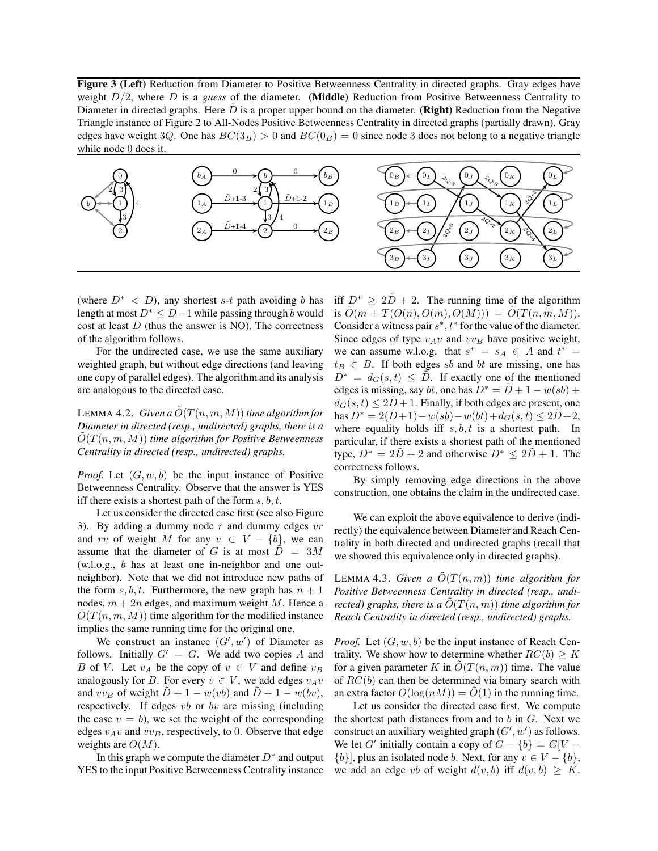Figure 3 (Left) Reduction from Diameter to Positive Betweenness Centrality in directed graphs. Gray edges have weight D/2, where D is a *guess* of the diameter. (Middle) Reduction from Positive Betweenness Centrality to Diameter in directed graphs. Here D is a proper upper bound on the diameter. (**Right**) Reduction from the Negative Triangle instance of Figure 2 to All-Nodes Positive Betweenness Centrality in directed graphs (partially drawn). Gray edges have weight 3Q. One has  $BC(3<sub>B</sub>) > 0$  and  $BC(0<sub>B</sub>) = 0$  since node 3 does not belong to a negative triangle while node 0 does it.



(where  $D^*$  < D), any shortest s-t path avoiding b has length at most  $D^* \leq D-1$  while passing through b would cost at least  $D$  (thus the answer is NO). The correctness of the algorithm follows.

For the undirected case, we use the same auxiliary weighted graph, but without edge directions (and leaving one copy of parallel edges). The algorithm and its analysis are analogous to the directed case.

LEMMA 4.2. *Given a*  $\tilde{O}(T(n,m,M))$  *time algorithm for Diameter in directed (resp., undirected) graphs, there is a*  $O(T(n, m, M))$  *time algorithm for Positive Betweenness Centrality in directed (resp., undirected) graphs.*

*Proof.* Let  $(G, w, b)$  be the input instance of Positive Betweenness Centrality. Observe that the answer is YES iff there exists a shortest path of the form  $s, b, t$ .

Let us consider the directed case first (see also Figure 3). By adding a dummy node  $r$  and dummy edges  $vr$ and rv of weight M for any  $v \in V - \{b\}$ , we can assume that the diameter of G is at most  $D = 3M$ (w.l.o.g., b has at least one in-neighbor and one outneighbor). Note that we did not introduce new paths of the form  $s, b, t$ . Furthermore, the new graph has  $n + 1$ nodes,  $m + 2n$  edges, and maximum weight M. Hence a  $O(T(n, m, M))$  time algorithm for the modified instance implies the same running time for the original one.

We construct an instance  $(G', w')$  of Diameter as follows. Initially  $G' = G$ . We add two copies A and B of V. Let  $v_A$  be the copy of  $v \in V$  and define  $v_B$ analogously for B. For every  $v \in V$ , we add edges  $v_Av$ and  $vv_B$  of weight  $\ddot{D} + 1 - w(vb)$  and  $\ddot{D} + 1 - w(bv)$ , respectively. If edges vb or by are missing (including the case  $v = b$ , we set the weight of the corresponding edges  $v_A v$  and  $v v_B$ , respectively, to 0. Observe that edge weights are  $O(M)$ .

In this graph we compute the diameter  $D^*$  and output YES to the input Positive Betweenness Centrality instance iff  $D^* \geq 2D + 2$ . The running time of the algorithm is  $\tilde{O}(m + T(O(n), O(m), O(M))) = \tilde{O}(T(n, m, M)).$ Consider a witness pair  $s^*$ ,  $t^*$  for the value of the diameter. Since edges of type  $v_Av$  and  $vv_B$  have positive weight, we can assume w.l.o.g. that  $s^* = s_A \in A$  and  $t^* =$  $t_B \in B$ . If both edges sb and bt are missing, one has  $D^* = d_G(s,t) \leq D$ . If exactly one of the mentioned edges is missing, say bt, one has  $D^* = \tilde{D} + 1 - w(sb) +$  $d_G(s, t) \leq 2D + 1$ . Finally, if both edges are present, one has  $D^* = 2(\tilde{D}+1)-w(sh)-w(bt)+d_G(s,t) \leq 2\tilde{D}+2,$ where equality holds iff  $s, b, t$  is a shortest path. In particular, if there exists a shortest path of the mentioned type,  $D^* = 2\tilde{D} + 2$  and otherwise  $D^* \leq 2\tilde{D} + 1$ . The correctness follows.

By simply removing edge directions in the above construction, one obtains the claim in the undirected case.

We can exploit the above equivalence to derive (indirectly) the equivalence between Diameter and Reach Centrality in both directed and undirected graphs (recall that we showed this equivalence only in directed graphs).

LEMMA 4.3. *Given a*  $\tilde{O}(T(n,m))$  *time algorithm for Positive Betweenness Centrality in directed (resp., undirected)* graphs, there is a  $O(T(n, m))$  time algorithm for *Reach Centrality in directed (resp., undirected) graphs.*

*Proof.* Let  $(G, w, b)$  be the input instance of Reach Centrality. We show how to determine whether  $RC(b) \geq K$ for a given parameter K in  $\tilde{O}(T(n,m))$  time. The value of  $RC(b)$  can then be determined via binary search with an extra factor  $O(\log(nM)) = O(1)$  in the running time.

Let us consider the directed case first. We compute the shortest path distances from and to  $b$  in  $G$ . Next we construct an auxiliary weighted graph  $(G', w')$  as follows. We let G' initially contain a copy of  $G - \{b\} = G[V {b}$ ], plus an isolated node *b*. Next, for any  $v \in V - \{b\}$ , we add an edge vb of weight  $d(v, b)$  iff  $d(v, b) \geq K$ .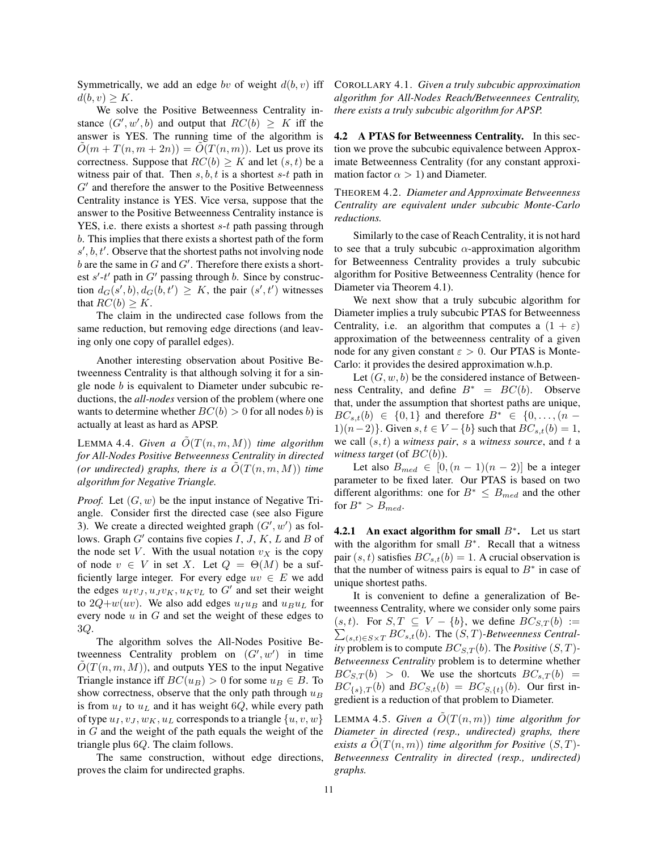Symmetrically, we add an edge by of weight  $d(b, v)$  iff  $d(b, v) \geq K$ .

We solve the Positive Betweenness Centrality instance  $(G', w', b)$  and output that  $RC(b) \geq K$  iff the answer is YES. The running time of the algorithm is  $O(m + T(n, m + 2n)) = O(T(n, m))$ . Let us prove its correctness. Suppose that  $RC(b) > K$  and let  $(s, t)$  be a witness pair of that. Then  $s, b, t$  is a shortest  $s-t$  path in  $G'$  and therefore the answer to the Positive Betweenness Centrality instance is YES. Vice versa, suppose that the answer to the Positive Betweenness Centrality instance is YES, i.e. there exists a shortest  $s-t$  path passing through b. This implies that there exists a shortest path of the form  $s', b, t'$ . Observe that the shortest paths not involving node b are the same in  $G$  and  $G'$ . Therefore there exists a shortest  $s'$ -t' path in  $G'$  passing through b. Since by construction  $d_G(s', b), d_G(b, t') \geq K$ , the pair  $(s', t')$  witnesses that  $RC(b) > K$ .

The claim in the undirected case follows from the same reduction, but removing edge directions (and leaving only one copy of parallel edges).

Another interesting observation about Positive Betweenness Centrality is that although solving it for a single node b is equivalent to Diameter under subcubic reductions, the *all-nodes* version of the problem (where one wants to determine whether  $BC(b) > 0$  for all nodes b) is actually at least as hard as APSP.

LEMMA 4.4. *Given a*  $\tilde{O}(T(n,m,M))$  *time algorithm for All-Nodes Positive Betweenness Centrality in directed* (or undirected) graphs, there is a  $\tilde{O}(T(n,m,M))$  time *algorithm for Negative Triangle.*

*Proof.* Let  $(G, w)$  be the input instance of Negative Triangle. Consider first the directed case (see also Figure 3). We create a directed weighted graph  $(G', w')$  as follows. Graph  $G'$  contains five copies  $I, J, K, L$  and  $B$  of the node set V. With the usual notation  $v<sub>X</sub>$  is the copy of node  $v \in V$  in set X. Let  $Q = \Theta(M)$  be a sufficiently large integer. For every edge  $uv \in E$  we add the edges  $u_I v_J, u_J v_K, u_K v_L$  to  $G'$  and set their weight to  $2Q+w(uv)$ . We also add edges  $u_Iu_B$  and  $u_Bu_L$  for every node  $u$  in  $G$  and set the weight of these edges to 3Q.

The algorithm solves the All-Nodes Positive Betweenness Centrality problem on  $(G', w')$  in time  $O(T(n, m, M))$ , and outputs YES to the input Negative Triangle instance iff  $BC(u_B) > 0$  for some  $u_B \in B$ . To show correctness, observe that the only path through  $u_B$ is from  $u_I$  to  $u_L$  and it has weight 6Q, while every path of type  $u_1, v_1, w_K, u_L$  corresponds to a triangle  $\{u, v, w\}$ in  $G$  and the weight of the path equals the weight of the triangle plus 6Q. The claim follows.

The same construction, without edge directions, proves the claim for undirected graphs.

COROLLARY 4.1. *Given a truly subcubic approximation algorithm for All-Nodes Reach/Betweennees Centrality, there exists a truly subcubic algorithm for APSP.*

4.2 A PTAS for Betweenness Centrality. In this section we prove the subcubic equivalence between Approximate Betweenness Centrality (for any constant approximation factor  $\alpha > 1$ ) and Diameter.

THEOREM 4.2. *Diameter and Approximate Betweenness Centrality are equivalent under subcubic Monte-Carlo reductions.*

Similarly to the case of Reach Centrality, it is not hard to see that a truly subcubic  $\alpha$ -approximation algorithm for Betweenness Centrality provides a truly subcubic algorithm for Positive Betweenness Centrality (hence for Diameter via Theorem 4.1).

We next show that a truly subcubic algorithm for Diameter implies a truly subcubic PTAS for Betweenness Centrality, i.e. an algorithm that computes a  $(1 + \varepsilon)$ approximation of the betweenness centrality of a given node for any given constant  $\varepsilon > 0$ . Our PTAS is Monte-Carlo: it provides the desired approximation w.h.p.

Let  $(G, w, b)$  be the considered instance of Betweenness Centrality, and define  $B^* = BC(b)$ . Observe that, under the assumption that shortest paths are unique,  $BC_{s,t}(b) \in \{0,1\}$  and therefore  $B^* \in \{0,\ldots,(n-1)\}$ 1)(*n*−2)}. Given *s*,  $t \in V - \{b\}$  such that  $BC_{s,t}(b) = 1$ , we call (s, t) a *witness pair*, s a *witness source*, and t a *witness target* (of BC(b)).

Let also  $B_{med} \in [0,(n-1)(n-2)]$  be a integer parameter to be fixed later. Our PTAS is based on two different algorithms: one for  $B^* \leq B_{med}$  and the other for  $B^* > B_{med}$ .

4.2.1 An exact algorithm for small  $B^*$ . Let us start with the algorithm for small  $B^*$ . Recall that a witness pair  $(s, t)$  satisfies  $BC_{s,t}(b)=1$ . A crucial observation is that the number of witness pairs is equal to  $B^*$  in case of unique shortest paths.

It is convenient to define a generalization of Betweenness Centrality, where we consider only some pairs  $\sum_{(s,t)\in S\times T} BC_{s,t}(b)$ . The  $(S,T)$ *-Betweenness Central-* $(s, t)$ . For  $S, T \subseteq V - \{b\}$ , we define  $BC_{S,T}(b) :=$ *ity* problem is to compute  $BC_{S,T}(b)$ . The *Positive*  $(S,T)$ -*Betweenness Centrality* problem is to determine whether  $BC_{S,T}(b) > 0$ . We use the shortcuts  $BC_{S,T}(b) =$  $BC_{\{s\},T}(b)$  and  $BC_{S,t}(b) = BC_{S,\{t\}}(b)$ . Our first ingredient is a reduction of that problem to Diameter.

LEMMA 4.5. *Given a*  $\tilde{O}(T(n,m))$  *time algorithm for Diameter in directed (resp., undirected) graphs, there exists a*  $\tilde{O}(T(n,m))$  *time algorithm for Positive*  $(S, T)$ *-Betweenness Centrality in directed (resp., undirected) graphs.*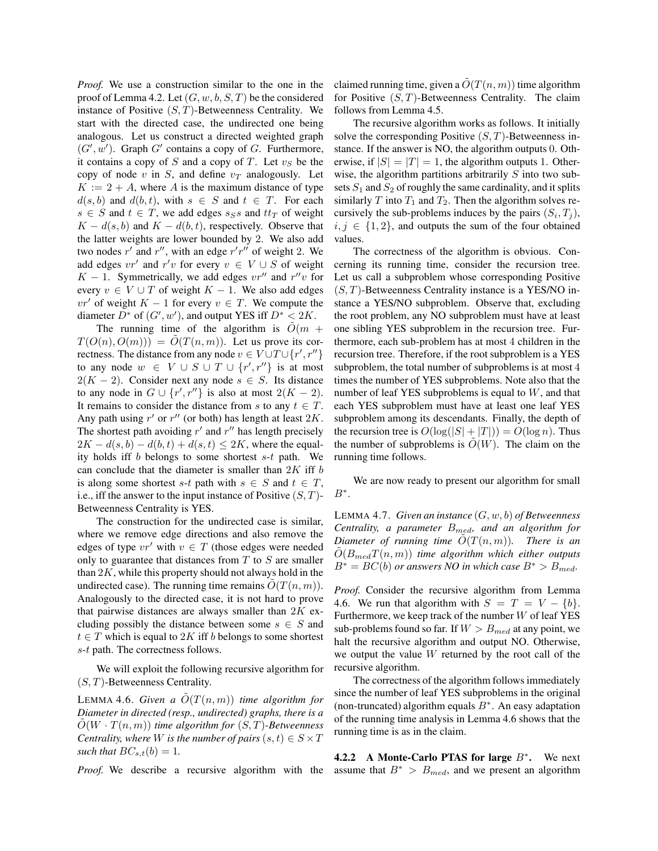*Proof.* We use a construction similar to the one in the proof of Lemma 4.2. Let  $(G, w, b, S, T)$  be the considered instance of Positive  $(S, T)$ -Betweenness Centrality. We start with the directed case, the undirected one being analogous. Let us construct a directed weighted graph  $(G', w')$ . Graph  $G'$  contains a copy of G. Furthermore, it contains a copy of S and a copy of T. Let  $v<sub>S</sub>$  be the copy of node  $v$  in  $S$ , and define  $v_T$  analogously. Let  $K := 2 + A$ , where A is the maximum distance of type  $d(s, b)$  and  $d(b, t)$ , with  $s \in S$  and  $t \in T$ . For each  $s \in S$  and  $t \in T$ , we add edges  $s_S s$  and  $t_{T}$  of weight  $K - d(s, b)$  and  $K - d(b, t)$ , respectively. Observe that the latter weights are lower bounded by 2. We also add two nodes  $r'$  and  $r''$ , with an edge  $r'r''$  of weight 2. We add edges  $vr'$  and  $r'v$  for every  $v \in V \cup S$  of weight  $K - 1$ . Symmetrically, we add edges  $vr''$  and  $r''v$  for every  $v \in V \cup T$  of weight  $K - 1$ . We also add edges  $vr'$  of weight  $K - 1$  for every  $v \in T$ . We compute the diameter  $D^*$  of  $(G', w')$ , and output YES iff  $D^* < 2K$ .

The running time of the algorithm is  $O(m +$  $T(O(n), O(m))) = \tilde{O}(T(n,m))$ . Let us prove its correctness. The distance from any node  $v \in V \cup T \cup \{r', r''\}$ to any node  $w \in V \cup S \cup T \cup \{r', r''\}$  is at most  $2(K-2)$ . Consider next any node  $s \in S$ . Its distance to any node in  $G \cup \{r', r''\}$  is also at most  $2(K-2)$ . It remains to consider the distance from s to any  $t \in T$ . Any path using  $r'$  or  $r''$  (or both) has length at least  $2K$ . The shortest path avoiding  $r'$  and  $r''$  has length precisely  $2K - d(s, b) - d(b, t) + d(s, t) \leq 2K$ , where the equality holds iff b belongs to some shortest  $s-t$  path. We can conclude that the diameter is smaller than  $2K$  iff b is along some shortest s-t path with  $s \in S$  and  $t \in T$ , i.e., iff the answer to the input instance of Positive  $(S, T)$ -Betweenness Centrality is YES.

The construction for the undirected case is similar, where we remove edge directions and also remove the edges of type  $vr'$  with  $v \in T$  (those edges were needed only to guarantee that distances from  $T$  to  $S$  are smaller than  $2K$ , while this property should not always hold in the undirected case). The running time remains  $O(T(n, m))$ . Analogously to the directed case, it is not hard to prove that pairwise distances are always smaller than  $2K$  excluding possibly the distance between some  $s \in S$  and  $t \in T$  which is equal to 2K iff b belongs to some shortest s-t path. The correctness follows.

We will exploit the following recursive algorithm for  $(S, T)$ -Betweenness Centrality.

LEMMA 4.6. *Given a*  $O(T(n, m))$  *time algorithm for Diameter in directed (resp., undirected) graphs, there is a*  $O(W \cdot T(n, m))$  *time algorithm for*  $(S, T)$ *-Betweenness Centrality, where W is the number of pairs*  $(s, t) \in S \times T$ *such that*  $BC_{s,t}(b)=1$ .

*Proof.* We describe a recursive algorithm with the

claimed running time, given a  $\tilde{O}(T(n,m))$  time algorithm for Positive  $(S, T)$ -Betweenness Centrality. The claim follows from Lemma 4.5.

The recursive algorithm works as follows. It initially solve the corresponding Positive  $(S, T)$ -Betweenness instance. If the answer is NO, the algorithm outputs 0. Otherwise, if  $|S| = |T| = 1$ , the algorithm outputs 1. Otherwise, the algorithm partitions arbitrarily  $S$  into two subsets  $S_1$  and  $S_2$  of roughly the same cardinality, and it splits similarly T into  $T_1$  and  $T_2$ . Then the algorithm solves recursively the sub-problems induces by the pairs  $(S_i, T_j)$ ,  $i, j \in \{1, 2\}$ , and outputs the sum of the four obtained values.

The correctness of the algorithm is obvious. Concerning its running time, consider the recursion tree. Let us call a subproblem whose corresponding Positive  $(S, T)$ -Betweenness Centrality instance is a YES/NO instance a YES/NO subproblem. Observe that, excluding the root problem, any NO subproblem must have at least one sibling YES subproblem in the recursion tree. Furthermore, each sub-problem has at most 4 children in the recursion tree. Therefore, if the root subproblem is a YES subproblem, the total number of subproblems is at most 4 times the number of YES subproblems. Note also that the number of leaf YES subproblems is equal to  $W$ , and that each YES subproblem must have at least one leaf YES subproblem among its descendants. Finally, the depth of the recursion tree is  $O(\log(|S| + |T|)) = O(\log n)$ . Thus the number of subproblems is  $O(W)$ . The claim on the running time follows.

We are now ready to present our algorithm for small  $B^*$ .

LEMMA 4.7. *Given an instance* (G, w, b) *of Betweenness Centrality, a parameter* Bmed*, and an algorithm for Diameter of running time*  $O(T(n, m))$ *. There is an*  $O(B_{med} T(n, m))$  *time algorithm which either outputs*  $B^* = BC(b)$  *or answers NO in which case*  $B^* > B_{med}$ .

*Proof.* Consider the recursive algorithm from Lemma 4.6. We run that algorithm with  $S = T = V - \{b\}.$ Furthermore, we keep track of the number  $W$  of leaf YES sub-problems found so far. If  $W > B_{med}$  at any point, we halt the recursive algorithm and output NO. Otherwise, we output the value  $W$  returned by the root call of the recursive algorithm.

The correctness of the algorithm follows immediately since the number of leaf YES subproblems in the original (non-truncated) algorithm equals  $B^*$ . An easy adaptation of the running time analysis in Lemma 4.6 shows that the running time is as in the claim.

4.2.2 A Monte-Carlo PTAS for large  $B^*$ . We next assume that  $B^* > B_{med}$ , and we present an algorithm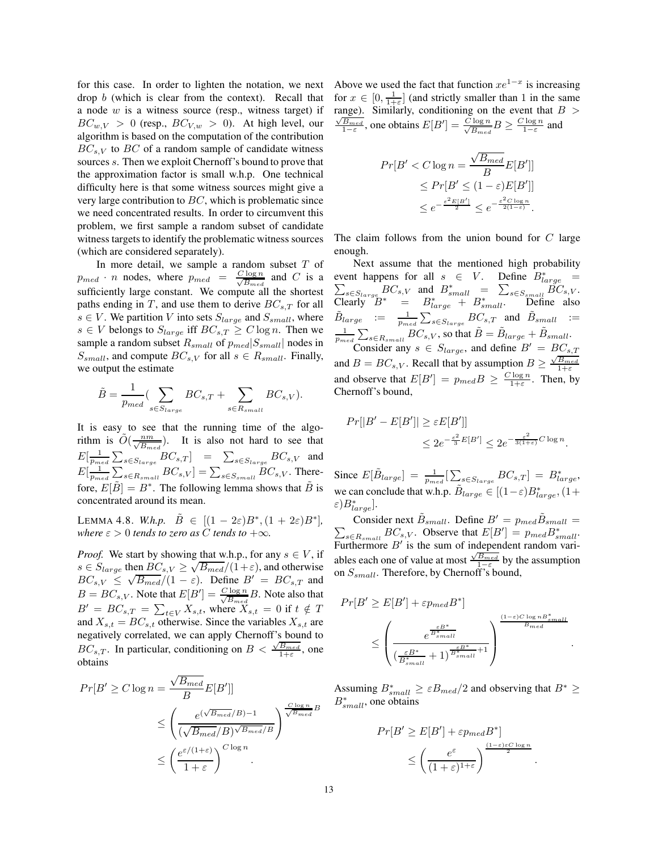for this case. In order to lighten the notation, we next drop b (which is clear from the context). Recall that a node  $w$  is a witness source (resp., witness target) if  $BC_{w,V} > 0$  (resp.,  $BC_{V,w} > 0$ ). At high level, our algorithm is based on the computation of the contribution  $BC_{s,V}$  to  $BC$  of a random sample of candidate witness sources s. Then we exploit Chernoff's bound to prove that the approximation factor is small w.h.p. One technical difficulty here is that some witness sources might give a very large contribution to BC, which is problematic since we need concentrated results. In order to circumvent this problem, we first sample a random subset of candidate witness targets to identify the problematic witness sources (which are considered separately).

In more detail, we sample a random subset  $T$  of  $p_{med}$  · n nodes, where  $p_{med} = \frac{C \log n}{\sqrt{B_{med}}}$  $rac{\log n}{B_{med}}$  and C is a sufficiently large constant. We compute all the shortest paths ending in T, and use them to derive  $BC_{s,T}$  for all  $s \in V$ . We partition V into sets  $S_{large}$  and  $S_{small}$ , where  $s \in V$  belongs to  $S_{large}$  iff  $BC_{s,T} \geq C \log n$ . Then we sample a random subset  $R_{small}$  of  $p_{med}|S_{small}|$  nodes in  $S_{small}$ , and compute  $BC_{s,V}$  for all  $s \in R_{small}$ . Finally, we output the estimate

$$
\tilde{B} = \frac{1}{p_{med}} \left( \sum_{s \in S_{large}} BC_{s,T} + \sum_{s \in R_{small}} BC_{s,V} \right).
$$

It is easy to see that the running time of the algorithm is  $\tilde{O}(\frac{nm}{\sqrt{B_{med}}})$ . It is also not hard to see that  $E[\frac{1}{p_{med}}\sum_{s \in S_{large}} BC_{s,T}] = \sum_{s \in S_{large}} BC_{s,V}$  and  $E[\frac{1}{p_{med}}\sum_{s\in R_{small}}BC_{s,V}]=\sum_{s\in S_{small}}BC_{s,V}.$  Therefore,  $E[B] = B^*$ . The following lemma shows that B is concentrated around its mean.

LEMMA 4.8. *W.h.p.*  $\tilde{B} \in [(1 - 2\varepsilon)B^*, (1 + 2\varepsilon)B^*]$ , *where*  $\varepsilon > 0$  *tends to zero as C tends to*  $+\infty$ *.* 

*Proof.* We start by showing that w.h.p., for any  $s \in V$ , if  $s \in S_{large}$  then  $BC_{s,V} \geq \sqrt{B_{med}}/(1+\varepsilon)$ , and otherwise  $BC_{s,V} \leq \sqrt{B_{med}}/(1-\varepsilon)$ . Define  $B' = BC_{s,T}$  and  $B = BC_{s,V}$ . Note that  $E[B'] = \frac{C \log n}{\sqrt{B}}$  $\frac{\log n}{B_{med}}B$ . Note also that  $B' = BC_{s,T} = \sum_{t \in V} X_{s,t}$ , where  $X_{s,t} = 0$  if  $t \notin T$ and  $X_{s,t} = BC_{s,t}$  otherwise. Since the variables  $X_{s,t}$  are negatively correlated, we can apply Chernoff's bound to  $BC_{s,T}$ . In particular, conditioning on  $B < \frac{\sqrt{B_{med}}}{1+\varepsilon}$ , one obtains

$$
Pr[B' \ge C \log n = \frac{\sqrt{B_{med}}}{B} E[B']]
$$
  

$$
\le \left(\frac{e^{(\sqrt{B_{med}}/B) - 1}}{(\sqrt{B_{med}}/B)^{\sqrt{B_{med}}/B}}\right)^{\frac{C \log n}{\sqrt{B_{med}}B}}
$$
  

$$
\le \left(\frac{e^{\varepsilon/(1+\varepsilon)}}{1+\varepsilon}\right)^{C \log n}.
$$

Above we used the fact that function  $xe^{1-x}$  is increasing for  $x \in [0, \frac{1}{1+\epsilon}]$  (and strictly smaller than 1 in the same range). Similarly, conditioning on the event that  $B >$  $\frac{\sqrt{B_{med}}}{1-\varepsilon}$ , one obtains  $E[B'] = \frac{C \log n}{\sqrt{B_{med}}}$  $\frac{\log n}{B_{med}} B \geq \frac{C \log n}{1 - \varepsilon}$  and

$$
Pr[B' < C \log n = \frac{\sqrt{B_{med}}}{B} E[B']]
$$
\n
$$
\leq Pr[B' \leq (1 - \varepsilon)E[B']]
$$
\n
$$
\leq e^{-\frac{\varepsilon^2 E[B']}{2}} \leq e^{-\frac{\varepsilon^2 C \log n}{2(1 - \varepsilon)}}.
$$

The claim follows from the union bound for  $C$  large enough.

Next assume that the mentioned high probability event happens for all  $s \in V$ . Define  $B^*_{large}$  =  $\sum_{s \in S_{large}} BC_{s,V}$  and  $B_{small}^{*} = \sum_{s \in S_{small}} BC_{s,V}$ .<br>Clearly  $B^{*} = B_{large}^{*} + B_{small}^{*}$ . Define also  $\tilde{B}_{large}$  :=  $\frac{1}{p_{med}} \sum_{s \in S_{large}} BC_{s,T}$  and  $\tilde{B}_{small}$  :=  $\frac{1}{p_{med}}\sum_{s \in R_{small}} BC_{s,V}$ , so that  $\tilde{B} = \tilde{B}_{large} + \tilde{B}_{small}$ . Consider any  $s \in S_{large}$ , and define  $B' = BC_{s,T}$ and  $B = BC_{s,V}$ . Recall that by assumption  $B \ge \frac{\sqrt{B_{med}}}{1+\varepsilon}$ and observe that  $E[B'] = p_{med}B \ge \frac{C \log n}{1+\varepsilon}$ . Then, by Chernoff's bound,

$$
Pr[|B' - E[B']| \ge \varepsilon E[B']]
$$
  

$$
\le 2e^{-\frac{\varepsilon^2}{3}E[B']} \le 2e^{-\frac{\varepsilon^2}{3(1+\varepsilon)}C\log n}.
$$

Since  $E[\tilde{B}_{large}] = \frac{1}{p_{med}}[\sum_{s \in S_{large}} BC_{s,T}] = B_{large}^*$ , we can conclude that w.h.p.  $\tilde{B}_{large} \in [(1 - \varepsilon)B_{large}^*, (1 +$ ε) $B^*_{large}$ ].

Consider next  $\tilde{B}_{small}$ . Define  $B' = p_{med} \tilde{B}_{small} = \sum_{c \in B} BC_s v$ . Observe that  $E[B'] = p_{med} B_{small}^*$ .  $s \in R_{small}$   $BC_{s,V}$ . Observe that  $E[B'] = p_{med}B_{small}^*$ . Furthermore  $B'$  is the sum of independent random variables each one of value at most  $\frac{\sqrt{B_{med}}}{\sqrt{B_{per}}}$  by the assumption on  $S_{small}$ . Therefore, by Chernoff's bound,

$$
Pr[B' \ge E[B'] + \varepsilon p_{med} B^*]
$$
  

$$
\le \left(\frac{e^{\frac{\varepsilon B^*}{B_{small}^*}}}{\left(\frac{\varepsilon B^*}{B_{small}^*} + 1\right)^{\frac{\varepsilon B^*}{B_{small}^*}+1}}\right)^{\frac{(1-\varepsilon)C\log nB_{small}^*}{B_{med}}}
$$

.

.

Assuming  $B_{small}^* \geq \varepsilon B_{med}/2$  and observing that  $B^* \geq$  $B_{small}^*$ , one obtains

$$
Pr[B' \ge E[B'] + \varepsilon p_{med} B^*]
$$
  

$$
\le \left(\frac{e^{\varepsilon}}{(1+\varepsilon)^{1+\varepsilon}}\right)^{\frac{(1-\varepsilon)\varepsilon C \log n}{2}}
$$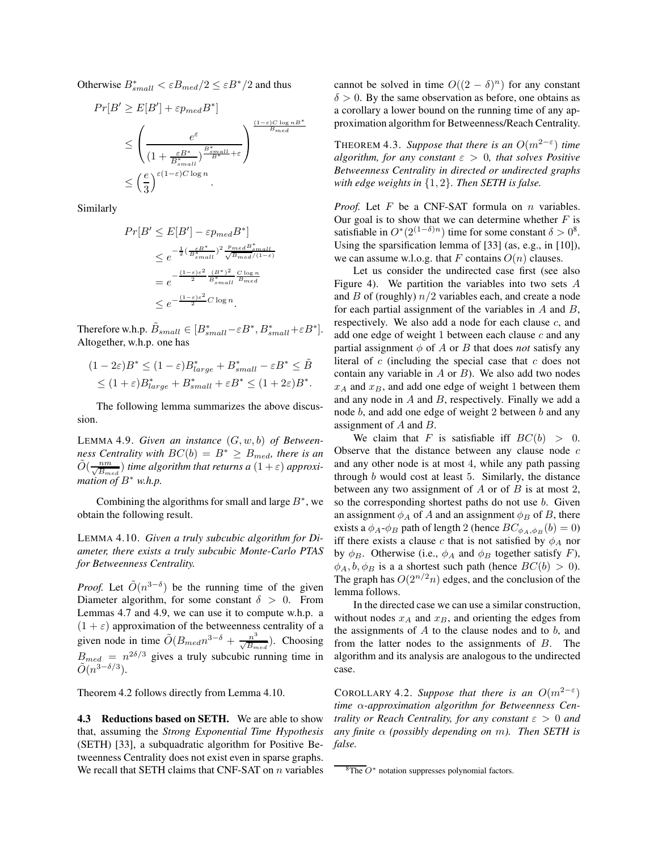Otherwise  $B^*_{small} < \varepsilon B_{med}/2 \leq \varepsilon B^*/2$  and thus

$$
Pr[B' \ge E[B'] + \varepsilon p_{med} B^*]
$$
  
\n
$$
\le \left(\frac{e^{\varepsilon}}{(1 + \frac{\varepsilon B^*}{B^*_{small}})^{\frac{B^*_{small}}{B^*} + \varepsilon}}\right)^{\frac{(1-\varepsilon)C \log nB^*}{B_{med}}}
$$
  
\n
$$
\le \left(\frac{e}{3}\right)^{\varepsilon(1-\varepsilon)C \log n}.
$$

Similarly

$$
Pr[B' \le E[B'] - \varepsilon p_{med} B^*]
$$
  
\n
$$
\le e^{-\frac{1}{2}(\frac{\varepsilon B^*}{B^*_{small}})^2 \frac{p_{med}B^*_{small}}{\sqrt{B_{med}}/(1-\varepsilon)}}
$$
  
\n
$$
= e^{-\frac{(1-\varepsilon)\varepsilon^2}{2} \frac{(B^*)^2}{B^*_{small}} \frac{C \log n}{B_{med}}}
$$
  
\n
$$
\le e^{-\frac{(1-\varepsilon)\varepsilon^2}{2} C \log n}.
$$

Therefore w.h.p.  $\tilde{B}_{small} \in [B^{*}_{small}-\varepsilon B^{*},B^{*}_{small}+\varepsilon B^{*}].$ Altogether, w.h.p. one has

$$
(1 - 2\varepsilon)B^* \le (1 - \varepsilon)B_{large}^* + B_{small}^* - \varepsilon B^* \le \tilde{B}
$$
  
 
$$
\le (1 + \varepsilon)B_{large}^* + B_{small}^* + \varepsilon B^* \le (1 + 2\varepsilon)B^*.
$$

The following lemma summarizes the above discussion.

LEMMA 4.9. *Given an instance* (G, w, b) *of Betweenness Centrality with*  $BC(b) = B^* \geq B_{med}$ , there is an  $\tilde{O}(\frac{nm}{\sqrt{B_{med}}})$  *time algorithm that returns a*  $(1+\varepsilon)$  *approximation of* B<sup>∗</sup> *w.h.p.*

Combining the algorithms for small and large  $B^*$ , we obtain the following result.

LEMMA 4.10. *Given a truly subcubic algorithm for Diameter, there exists a truly subcubic Monte-Carlo PTAS for Betweenness Centrality.*

*Proof.* Let  $\tilde{O}(n^{3-\delta})$  be the running time of the given Diameter algorithm, for some constant  $\delta > 0$ . From Lemmas 4.7 and 4.9, we can use it to compute w.h.p. a  $(1 + \varepsilon)$  approximation of the betweenness centrality of a given node in time  $\tilde{O}(B_{med}n^{3-\delta} + \frac{n^3}{\sqrt{B_{med}}})$ . Choosing  $B_{med} = n^{2\delta/3}$  gives a truly subcubic running time in  $\tilde{O}(n^{3-\delta/3})$ .

Theorem 4.2 follows directly from Lemma 4.10.

4.3 Reductions based on SETH. We are able to show that, assuming the *Strong Exponential Time Hypothesis* (SETH) [33], a subquadratic algorithm for Positive Betweenness Centrality does not exist even in sparse graphs. We recall that SETH claims that CNF-SAT on  $n$  variables cannot be solved in time  $O((2 - \delta)^n)$  for any constant  $\delta > 0$ . By the same observation as before, one obtains as a corollary a lower bound on the running time of any approximation algorithm for Betweenness/Reach Centrality.

THEOREM 4.3. *Suppose that there is an*  $O(m^{2-\epsilon})$  *time algorithm, for any constant*  $\varepsilon > 0$ *, that solves Positive Betweenness Centrality in directed or undirected graphs with edge weights in* {1, 2}*. Then SETH is false.*

*Proof.* Let  $F$  be a CNF-SAT formula on  $n$  variables. Our goal is to show that we can determine whether  $F$  is satisfiable in  $O^*(2^{(1-\delta)n})$  time for some constant  $\delta > 0^8$ . Using the sparsification lemma of [33] (as, e.g., in [10]), we can assume w.l.o.g. that F contains  $O(n)$  clauses.

Let us consider the undirected case first (see also Figure 4). We partition the variables into two sets A and B of (roughly)  $n/2$  variables each, and create a node for each partial assignment of the variables in  $A$  and  $B$ , respectively. We also add a node for each clause  $c$ , and add one edge of weight 1 between each clause  $c$  and any partial assignment  $\phi$  of A or B that does *not* satisfy any literal of  $c$  (including the special case that  $c$  does not contain any variable in  $A$  or  $B$ ). We also add two nodes  $x_A$  and  $x_B$ , and add one edge of weight 1 between them and any node in A and B, respectively. Finally we add a node b, and add one edge of weight 2 between b and any assignment of A and B.

We claim that F is satisfiable iff  $BC(b) > 0$ . Observe that the distance between any clause node  $c$ and any other node is at most 4, while any path passing through b would cost at least 5. Similarly, the distance between any two assignment of  $A$  or of  $B$  is at most 2, so the corresponding shortest paths do not use *b*. Given an assignment  $\phi_A$  of A and an assignment  $\phi_B$  of B, there exists a  $\phi_A$ - $\phi_B$  path of length 2 (hence  $BC_{\phi_A, \phi_B}(b)=0$ ) iff there exists a clause c that is not satisfied by  $\phi_A$  nor by  $\phi_B$ . Otherwise (i.e.,  $\phi_A$  and  $\phi_B$  together satisfy F),  $\phi_A, b, \phi_B$  is a a shortest such path (hence  $BC(b) > 0$ ). The graph has  $O(2^{n/2}n)$  edges, and the conclusion of the lemma follows.

In the directed case we can use a similar construction, without nodes  $x_A$  and  $x_B$ , and orienting the edges from the assignments of  $A$  to the clause nodes and to  $b$ , and from the latter nodes to the assignments of B. The algorithm and its analysis are analogous to the undirected case.

COROLLARY 4.2. *Suppose that there is an*  $O(m^{2-\epsilon})$ *time* α*-approximation algorithm for Betweenness Centrality or Reach Centrality, for any constant* ε > 0 *and any finite* α *(possibly depending on* m*). Then SETH is false.*

 $8\text{The } O^*$  notation suppresses polynomial factors.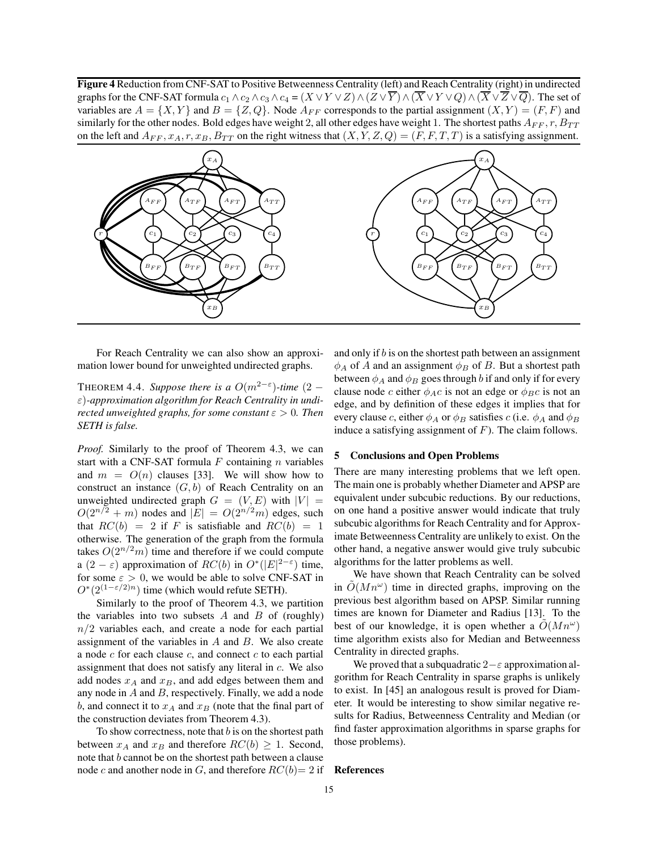Figure 4 Reduction from CNF-SAT to Positive Betweenness Centrality (left) and Reach Centrality (right) in undirected graphs for the CNF-SAT formula  $c_1 \wedge c_2 \wedge c_3 \wedge c_4 = (X \vee Y \vee Z) \wedge (Z \vee \overline{Y}) \wedge (\overline{X} \vee Y \vee Q) \wedge (\overline{X} \vee \overline{Z} \vee \overline{Q})$ . The set of variables are  $A = \{X, Y\}$  and  $B = \{Z, Q\}$ . Node  $A_{FF}$  corresponds to the partial assignment  $(X, Y) = (F, F)$  and similarly for the other nodes. Bold edges have weight 2, all other edges have weight 1. The shortest paths  $A_{FF}$ ,  $r$ ,  $B_{TT}$ on the left and  $A_{FF}$ ,  $x_A$ ,  $r$ ,  $x_B$ ,  $B_{TT}$  on the right witness that  $(X, Y, Z, Q) = (F, F, T, T)$  is a satisfying assignment.



For Reach Centrality we can also show an approximation lower bound for unweighted undirected graphs.

THEOREM 4.4. *Suppose there is a*  $O(m^{2-\epsilon})$ -time (2 – ε)*-approximation algorithm for Reach Centrality in undirected unweighted graphs, for some constant* ε > 0*. Then SETH is false.*

*Proof.* Similarly to the proof of Theorem 4.3, we can start with a CNF-SAT formula  $F$  containing  $n$  variables and  $m = O(n)$  clauses [33]. We will show how to construct an instance  $(G, b)$  of Reach Centrality on an unweighted undirected graph  $G = (V, E)$  with  $|V| =$  $O(2^{n/2} + m)$  nodes and  $|E| = O(2^{n/2}m)$  edges, such that  $RC(b) = 2$  if F is satisfiable and  $RC(b) = 1$ otherwise. The generation of the graph from the formula takes  $O(2^{n/2}m)$  time and therefore if we could compute a  $(2 - \varepsilon)$  approximation of  $RC(b)$  in  $O^*(|E|^{2-\varepsilon})$  time, for some  $\varepsilon > 0$ , we would be able to solve CNF-SAT in  $O^*(2^{(1-\epsilon/2)n})$  time (which would refute SETH).

Similarly to the proof of Theorem 4.3, we partition the variables into two subsets  $A$  and  $B$  of (roughly)  $n/2$  variables each, and create a node for each partial assignment of the variables in  $A$  and  $B$ . We also create a node  $c$  for each clause  $c$ , and connect  $c$  to each partial assignment that does not satisfy any literal in c. We also add nodes  $x_A$  and  $x_B$ , and add edges between them and any node in A and B, respectively. Finally, we add a node b, and connect it to  $x_A$  and  $x_B$  (note that the final part of the construction deviates from Theorem 4.3).

To show correctness, note that  $b$  is on the shortest path between  $x_A$  and  $x_B$  and therefore  $RC(b) \geq 1$ . Second, note that b cannot be on the shortest path between a clause node c and another node in G, and therefore  $RC(b)=2$  if and only if b is on the shortest path between an assignment  $\phi_A$  of A and an assignment  $\phi_B$  of B. But a shortest path between  $\phi_A$  and  $\phi_B$  goes through b if and only if for every clause node c either  $\phi_{A}c$  is not an edge or  $\phi_{B}c$  is not an edge, and by definition of these edges it implies that for every clause c, either  $\phi_A$  or  $\phi_B$  satisfies c (i.e.  $\phi_A$  and  $\phi_B$ ) induce a satisfying assignment of  $F$ ). The claim follows.

#### 5 Conclusions and Open Problems

There are many interesting problems that we left open. The main one is probably whether Diameter and APSP are equivalent under subcubic reductions. By our reductions, on one hand a positive answer would indicate that truly subcubic algorithms for Reach Centrality and for Approximate Betweenness Centrality are unlikely to exist. On the other hand, a negative answer would give truly subcubic algorithms for the latter problems as well.

We have shown that Reach Centrality can be solved in  $\tilde{O}(Mn^{\omega})$  time in directed graphs, improving on the previous best algorithm based on APSP. Similar running times are known for Diameter and Radius [13]. To the best of our knowledge, it is open whether a  $O(Mn^{\omega})$ time algorithm exists also for Median and Betweenness Centrality in directed graphs.

We proved that a subquadratic 2 $-\varepsilon$  approximation algorithm for Reach Centrality in sparse graphs is unlikely to exist. In [45] an analogous result is proved for Diameter. It would be interesting to show similar negative results for Radius, Betweenness Centrality and Median (or find faster approximation algorithms in sparse graphs for those problems).

#### References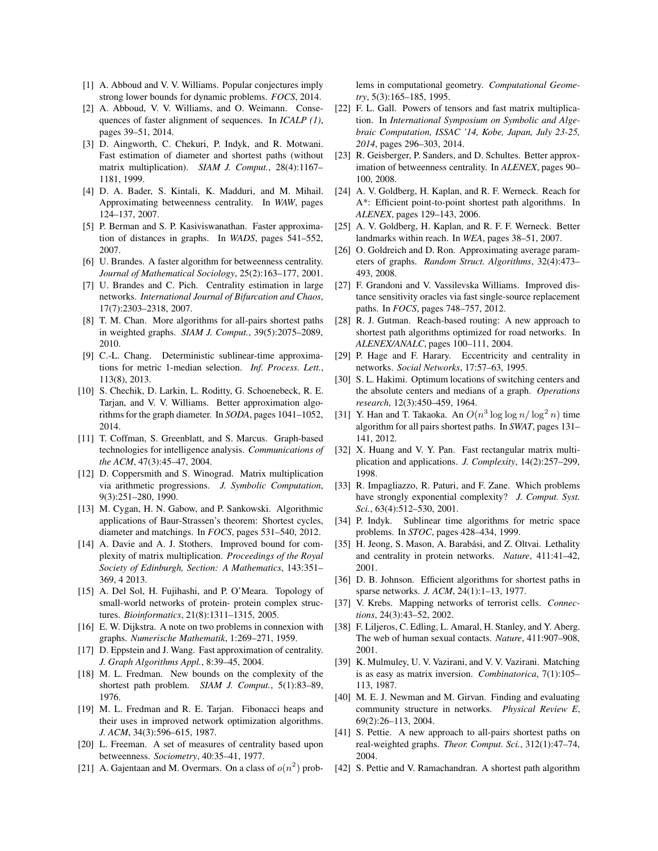- [1] A. Abboud and V. V. Williams. Popular conjectures imply strong lower bounds for dynamic problems. *FOCS*, 2014.
- [2] A. Abboud, V. V. Williams, and O. Weimann. Consequences of faster alignment of sequences. In *ICALP (1)*, pages 39–51, 2014.
- [3] D. Aingworth, C. Chekuri, P. Indyk, and R. Motwani. Fast estimation of diameter and shortest paths (without matrix multiplication). *SIAM J. Comput.*, 28(4):1167– 1181, 1999.
- [4] D. A. Bader, S. Kintali, K. Madduri, and M. Mihail. Approximating betweenness centrality. In *WAW*, pages 124–137, 2007.
- [5] P. Berman and S. P. Kasiviswanathan. Faster approximation of distances in graphs. In *WADS*, pages 541–552, 2007.
- [6] U. Brandes. A faster algorithm for betweenness centrality. *Journal of Mathematical Sociology*, 25(2):163–177, 2001.
- [7] U. Brandes and C. Pich. Centrality estimation in large networks. *International Journal of Bifurcation and Chaos*, 17(7):2303–2318, 2007.
- [8] T. M. Chan. More algorithms for all-pairs shortest paths in weighted graphs. *SIAM J. Comput.*, 39(5):2075–2089, 2010.
- [9] C.-L. Chang. Deterministic sublinear-time approximations for metric 1-median selection. *Inf. Process. Lett.*, 113(8), 2013.
- [10] S. Chechik, D. Larkin, L. Roditty, G. Schoenebeck, R. E. Tarjan, and V. V. Williams. Better approximation algorithms for the graph diameter. In *SODA*, pages 1041–1052, 2014.
- [11] T. Coffman, S. Greenblatt, and S. Marcus. Graph-based technologies for intelligence analysis. *Communications of the ACM*, 47(3):45–47, 2004.
- [12] D. Coppersmith and S. Winograd. Matrix multiplication via arithmetic progressions. *J. Symbolic Computation*, 9(3):251–280, 1990.
- [13] M. Cygan, H. N. Gabow, and P. Sankowski. Algorithmic applications of Baur-Strassen's theorem: Shortest cycles, diameter and matchings. In *FOCS*, pages 531–540, 2012.
- [14] A. Davie and A. J. Stothers. Improved bound for complexity of matrix multiplication. *Proceedings of the Royal Society of Edinburgh, Section: A Mathematics*, 143:351– 369, 4 2013.
- [15] A. Del Sol, H. Fujihashi, and P. O'Meara. Topology of small-world networks of protein- protein complex structures. *Bioinformatics*, 21(8):1311–1315, 2005.
- [16] E. W. Dijkstra. A note on two problems in connexion with graphs. *Numerische Mathematik*, 1:269–271, 1959.
- [17] D. Eppstein and J. Wang. Fast approximation of centrality. *J. Graph Algorithms Appl.*, 8:39–45, 2004.
- [18] M. L. Fredman. New bounds on the complexity of the shortest path problem. *SIAM J. Comput.*, 5(1):83–89, 1976.
- [19] M. L. Fredman and R. E. Tarjan. Fibonacci heaps and their uses in improved network optimization algorithms. *J. ACM*, 34(3):596–615, 1987.
- [20] L. Freeman. A set of measures of centrality based upon betweenness. *Sociometry*, 40:35–41, 1977.
- [21] A. Gajentaan and M. Overmars. On a class of  $o(n^2)$  prob-

lems in computational geometry. *Computational Geometry*, 5(3):165–185, 1995.

- [22] F. L. Gall. Powers of tensors and fast matrix multiplication. In *International Symposium on Symbolic and Algebraic Computation, ISSAC '14, Kobe, Japan, July 23-25, 2014*, pages 296–303, 2014.
- [23] R. Geisberger, P. Sanders, and D. Schultes. Better approximation of betweenness centrality. In *ALENEX*, pages 90– 100, 2008.
- [24] A. V. Goldberg, H. Kaplan, and R. F. Werneck. Reach for A\*: Efficient point-to-point shortest path algorithms. In *ALENEX*, pages 129–143, 2006.
- [25] A. V. Goldberg, H. Kaplan, and R. F. F. Werneck. Better landmarks within reach. In *WEA*, pages 38–51, 2007.
- [26] O. Goldreich and D. Ron. Approximating average parameters of graphs. *Random Struct. Algorithms*, 32(4):473– 493, 2008.
- [27] F. Grandoni and V. Vassilevska Williams. Improved distance sensitivity oracles via fast single-source replacement paths. In *FOCS*, pages 748–757, 2012.
- [28] R. J. Gutman. Reach-based routing: A new approach to shortest path algorithms optimized for road networks. In *ALENEX/ANALC*, pages 100–111, 2004.
- [29] P. Hage and F. Harary. Eccentricity and centrality in networks. *Social Networks*, 17:57–63, 1995.
- [30] S. L. Hakimi. Optimum locations of switching centers and the absolute centers and medians of a graph. *Operations research*, 12(3):450–459, 1964.
- [31] Y. Han and T. Takaoka. An  $O(n^3 \log \log n / \log^2 n)$  time algorithm for all pairs shortest paths. In *SWAT*, pages 131– 141, 2012.
- [32] X. Huang and V. Y. Pan. Fast rectangular matrix multiplication and applications. *J. Complexity*, 14(2):257–299, 1998.
- [33] R. Impagliazzo, R. Paturi, and F. Zane. Which problems have strongly exponential complexity? *J. Comput. Syst. Sci.*, 63(4):512–530, 2001.
- [34] P. Indyk. Sublinear time algorithms for metric space problems. In *STOC*, pages 428–434, 1999.
- [35] H. Jeong, S. Mason, A. Barabási, and Z. Oltvai. Lethality and centrality in protein networks. *Nature*, 411:41–42, 2001.
- [36] D. B. Johnson. Efficient algorithms for shortest paths in sparse networks. *J. ACM*, 24(1):1–13, 1977.
- [37] V. Krebs. Mapping networks of terrorist cells. *Connections*, 24(3):43–52, 2002.
- [38] F. Liljeros, C. Edling, L. Amaral, H. Stanley, and Y. Aberg. The web of human sexual contacts. *Nature*, 411:907–908, 2001.
- [39] K. Mulmuley, U. V. Vazirani, and V. V. Vazirani. Matching is as easy as matrix inversion. *Combinatorica*, 7(1):105– 113, 1987.
- [40] M. E. J. Newman and M. Girvan. Finding and evaluating community structure in networks. *Physical Review E*, 69(2):26–113, 2004.
- [41] S. Pettie. A new approach to all-pairs shortest paths on real-weighted graphs. *Theor. Comput. Sci.*, 312(1):47–74, 2004.
- [42] S. Pettie and V. Ramachandran. A shortest path algorithm